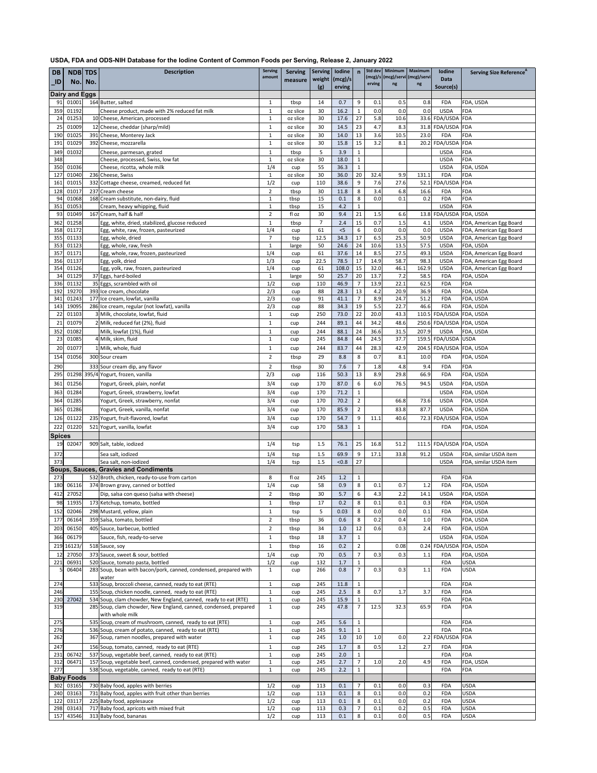| <b>DB</b>           |                       | <b>NDB</b> TDS | <b>Description</b>                                                                                                       | <b>Serving</b><br>amount     | <b>Serving</b>       |                | Serving   lodine                         |                                  |             | Std dev   Minimum   Maximum<br>(mcg)/s (mcg)/servi (mcg)/servi |              | <b>lodine</b>                         | Serving Size Reference <sup>A</sup>              |
|---------------------|-----------------------|----------------|--------------------------------------------------------------------------------------------------------------------------|------------------------------|----------------------|----------------|------------------------------------------|----------------------------------|-------------|----------------------------------------------------------------|--------------|---------------------------------------|--------------------------------------------------|
| $\_$ ID             |                       | No. No.        |                                                                                                                          |                              | measure              | (g)            | weight $\vert$ (mcg)/s $\vert$<br>erving |                                  | erving      | ng                                                             | ng           | <b>Data</b><br>Source(s)              |                                                  |
|                     | <b>Dairy and Eggs</b> |                |                                                                                                                          |                              |                      |                |                                          |                                  |             |                                                                |              |                                       |                                                  |
| 91                  | 01001                 |                | 164 Butter, salted                                                                                                       | 1                            | tbsp                 | 14             | 0.7                                      | 9                                | 0.1         | 0.5                                                            | 0.8          | <b>FDA</b>                            | FDA, USDA                                        |
| 359                 | 01192                 |                | Cheese product, made with 2% reduced fat milk                                                                            | $\mathbf{1}$                 | oz slice             | 30             | 16.2                                     | $\mathbf{1}$                     | 0.0         | 0.0                                                            | 0.0          | <b>USDA</b>                           | <b>FDA</b>                                       |
| 24                  | 01253                 |                | 10 Cheese, American, processed                                                                                           | 1                            | oz slice             | 30             | 17.6                                     | 27                               | 5.8         | 10.6                                                           |              | 33.6 FDA/USDA FDA                     |                                                  |
| 25                  | 01009                 |                | 12 Cheese, cheddar (sharp/mild)                                                                                          | $\mathbf{1}$                 | oz slice             | 30             | 14.5                                     | 23                               | 4.7         | 8.3                                                            |              | 31.8 FDA/USDA FDA                     |                                                  |
| 190<br>191          | 01025<br>01029        |                | 391 Cheese, Monterey Jack<br>392 Cheese, mozzarella                                                                      | 1<br>$\mathbf{1}$            | oz slice<br>oz slice | 30<br>30       | 14.0<br>15.8                             | 13<br>15                         | 3.6<br>3.2  | 10.5<br>8.1                                                    | 23.0         | <b>FDA</b><br>20.2 FDA/USDA FDA       | <b>FDA</b>                                       |
| 349                 | 01032                 |                | Cheese, parmesan, grated                                                                                                 | 1                            | tbsp                 | 5              | 3.9                                      | $\mathbf{1}$                     |             |                                                                |              | <b>USDA</b>                           | <b>FDA</b>                                       |
| 348                 |                       |                | Cheese, processed, Swiss, low fat                                                                                        | 1                            | oz slice             | 30             | 18.0                                     | $\mathbf{1}$                     |             |                                                                |              | <b>USDA</b>                           | <b>FDA</b>                                       |
| 350                 | 01036                 |                | Cheese, ricotta, whole milk                                                                                              | 1/4                          | cup                  | 55             | 36.3                                     | $\mathbf{1}$                     |             |                                                                |              | <b>USDA</b>                           | FDA, USDA                                        |
| 127                 | 01040                 |                | 236 Cheese, Swiss                                                                                                        |                              | oz slice             | 30             | 36.0                                     | 20                               | 32.4        | 9.9                                                            | 131.1        | <b>FDA</b>                            | <b>FDA</b>                                       |
| 161                 | 01015                 |                | 332 Cottage cheese, creamed, reduced fat                                                                                 | 1/2                          | cup                  | 110            | 38.6                                     | 9                                | 7.6         | 27.6                                                           | 52.1         | FDA/USDA                              | <b>FDA</b>                                       |
| 128<br>94           | 01017<br>01068        |                | 237 Cream cheese<br>168 Cream substitute, non-dairy, fluid                                                               | $\overline{2}$               | tbsp<br>tbsp         | 30<br>15       | 11.8<br>0.1                              | 8<br>8                           | 3.4<br>0.0  | 6.8<br>0.1                                                     | 16.6<br>0.2  | <b>FDA</b><br><b>FDA</b>              | <b>FDA</b><br><b>FDA</b>                         |
| 351                 | 01053                 |                | Cream, heavy whipping, fluid                                                                                             | $\mathbf{1}$<br>1            | tbsp                 | 15             | 4.2                                      | $\mathbf{1}$                     |             |                                                                |              | <b>USDA</b>                           | <b>FDA</b>                                       |
| 93                  | 01049                 |                | 167 Cream, half & half                                                                                                   | $\overline{2}$               | fl oz                | 30             | 9.4                                      | 21                               | 1.5         | 6.6                                                            |              | 13.8 FDA/USDA                         | FDA, USDA                                        |
| 362                 | 01258                 |                | Egg, white, dried, stabilized, glucose reduced                                                                           | 1                            | tbsp                 | $\overline{7}$ | 2.4                                      | 15                               | 0.7         | 1.5                                                            | 4.1          | <b>USDA</b>                           | FDA, American Egg Board                          |
| 358                 | 01172                 |                | Egg, white, raw, frozen, pasteurized                                                                                     | 1/4                          | cup                  | 61             | $<$ 5                                    | 6                                | 0.0         | 0.0                                                            | 0.0          | <b>USDA</b>                           | FDA, American Egg Board                          |
| 355                 | 01133                 |                | Egg, whole, dried                                                                                                        | $\overline{7}$               | tsp                  | 12.5           | 34.3                                     | 17                               | 6.5         | 25.3                                                           | 50.9         | <b>USDA</b>                           | FDA, American Egg Board                          |
| 353<br>357          | 01123<br>01171        |                | Egg, whole, raw, fresh<br>Egg, whole, raw, frozen, pasteurized                                                           | 1<br>1/4                     | large<br>cup         | 50<br>61       | 24.6<br>37.6                             | 24<br>14                         | 10.6<br>8.5 | 13.5<br>27.5                                                   | 57.5<br>49.3 | <b>USDA</b><br><b>USDA</b>            | FDA, USDA<br>FDA, American Egg Board             |
| 356                 | 01137                 |                | Egg, yolk, dried                                                                                                         | 1/3                          | cup                  | 22.5           | 78.5                                     | 17                               | 14.9        | 58.7                                                           | 98.3         | <b>USDA</b>                           | FDA, American Egg Board                          |
| 354                 | 01126                 |                | Egg, yolk, raw, frozen, pasteurized                                                                                      | 1/4                          | cup                  | 61             | 108.0                                    | 15                               | 32.0        | 46.1                                                           | 162.9        | <b>USDA</b>                           | FDA, American Egg Board                          |
| 34                  | 01129                 |                | 37 Eggs, hard-boiled                                                                                                     | 1                            | large                | 50             | 25.7                                     | 20                               | 13.7        | 7.2                                                            | 58.5         | <b>FDA</b>                            | FDA, USDA                                        |
| 336                 | 01132                 |                | 35 Eggs, scrambled with oil                                                                                              | 1/2                          | cup                  | 110            | 46.9                                     |                                  | 13.9        | 22.1                                                           | 62.5         | <b>FDA</b>                            | <b>FDA</b>                                       |
| 192<br>341          | 19270<br>01243        |                | 393 Ice cream, chocolate<br>177 Ice cream, lowfat, vanilla                                                               | 2/3<br>2/3                   | cup                  | 88<br>91       | 28.3<br>41.1                             | 13<br>$\overline{7}$             | 4.2<br>8.9  | 20.9<br>24.7                                                   | 36.9<br>51.2 | <b>FDA</b><br><b>FDA</b>              | FDA, USDA<br>FDA, USDA                           |
|                     | 143 19095             |                | 286 Ice cream, regular (not lowfat), vanilla                                                                             | 2/3                          | cup<br>cup           | 88             | 34.3                                     | 19                               | 5.5         | 22.7                                                           | 46.6         | <b>FDA</b>                            | FDA, USDA                                        |
| 22                  | 01103                 |                | 3 Milk, chocolate, lowfat, fluid                                                                                         | $\mathbf{1}$                 | cup                  | 250            | 73.0                                     | 22                               | 20.0        | 43.3                                                           |              | 110.5 FDA/USDA FDA, USDA              |                                                  |
| 21                  | 01079                 |                | 2 Milk, reduced fat (2%), fluid                                                                                          | 1                            | cup                  | 244            | 89.1                                     | 44                               | 34.2        | 48.6                                                           |              | 250.6 FDA/USDA FDA, USDA              |                                                  |
| 352                 | 01082                 |                | Milk, lowfat (1%), fluid                                                                                                 | $\mathbf{1}$                 | cup                  | 244            | 88.1                                     | 24                               | 36.6        | 31.5                                                           | 207.9        | <b>USDA</b>                           | FDA, USDA                                        |
| 23                  | 01085                 |                | 4 Milk, skim, fluid                                                                                                      | $\mathbf{1}$                 | cup                  | 245            | 84.8                                     | 44                               | 24.5        | 37.7                                                           |              | 159.5 FDA/USDA USDA                   |                                                  |
| 20                  | 01077                 |                | 1 Milk, whole, fluid                                                                                                     | $\mathbf{1}$                 | cup                  | 244            | 83.7                                     | 44                               | 28.3        | 42.9                                                           |              | 204.5 FDA/USDA FDA, USDA              |                                                  |
| 154                 | 01056                 |                | 300 Sour cream                                                                                                           | $\overline{2}$               | tbsp                 | 29             | 8.8                                      | 8                                | 0.7         | 8.1                                                            | 10.0         | <b>FDA</b>                            | FDA, USDA                                        |
| 290                 |                       |                | 333 Sour cream dip, any flavor                                                                                           | $\overline{2}$               | tbsp                 | 30             | 7.6                                      | $\overline{7}$                   | 1.8         | 4.8                                                            | 9.4          | <b>FDA</b>                            | <b>FDA</b>                                       |
| 295                 |                       |                | 01298 395/4 Yogurt, frozen, vanilla                                                                                      | 2/3                          | cup                  | 116            | 50.3                                     | 13                               | 8.9         | 29.8                                                           | 66.9         | <b>FDA</b>                            | FDA, USDA                                        |
| 361                 | 01256                 |                | Yogurt, Greek, plain, nonfat                                                                                             | 3/4                          | cup                  | 170            | 87.0                                     | 6                                | 6.0         | 76.5                                                           | 94.5         | <b>USDA</b>                           | FDA, USDA                                        |
| 363                 | 01284                 |                | Yogurt, Greek, strawberry, lowfat                                                                                        | 3/4                          | cup                  | 170            | 71.2                                     | $\mathbf{1}$                     |             |                                                                |              | <b>USDA</b>                           | FDA, USDA                                        |
| 364                 | 01285                 |                | Yogurt, Greek, strawberry, nonfat                                                                                        | 3/4                          | cup                  | 170            | 70.2                                     | $\overline{2}$                   |             | 66.8                                                           | 73.6         | <b>USDA</b>                           | FDA, USDA                                        |
| 365                 | 01286                 |                | Yogurt, Greek, vanilla, nonfat                                                                                           | 3/4                          | cup                  | 170            | 85.9                                     | $\overline{2}$                   |             | 83.8                                                           | 87.7         | <b>USDA</b>                           | FDA, USDA                                        |
| 126                 | 01122                 |                | 235 Yogurt, fruit-flavored, lowfat                                                                                       | 3/4                          | cup                  | 170            | 54.7                                     | 9                                | 11.1        | 40.6                                                           |              | 72.3 FDA/USDA FDA, USDA               |                                                  |
| 222                 | 01220                 |                | 521 Yogurt, vanilla, lowfat                                                                                              | 3/4                          | cup                  | 170            | 58.3                                     | $\mathbf{1}$                     |             |                                                                |              | <b>FDA</b>                            | FDA, USDA                                        |
| <b>Spices</b><br>19 | 02047                 |                | 909 Salt, table, iodized                                                                                                 | 1/4                          | tsp                  | 1.5            | 76.1                                     | 25                               | 16.8        | 51.2                                                           |              | 111.5 FDA/USDA FDA, USDA              |                                                  |
|                     |                       |                |                                                                                                                          |                              |                      |                |                                          |                                  |             |                                                                |              |                                       |                                                  |
| 372<br>373          |                       |                | Sea salt, iodized<br>Sea salt, non-iodized                                                                               | 1/4<br>1/4                   | tsp<br>tsp           | 1.5<br>1.5     | 69.9<br>< 0.8                            | 9<br>27                          | 17.1        | 33.8                                                           | 91.2         | <b>USDA</b><br><b>USDA</b>            | FDA, similar USDA item<br>FDA, similar USDA item |
|                     |                       |                | <b>Soups, Sauces, Gravies and Condiments</b>                                                                             |                              |                      |                |                                          |                                  |             |                                                                |              |                                       |                                                  |
| 273                 |                       |                | 532 Broth, chicken, ready-to-use from carton                                                                             | 8                            | fl oz                | 245            | 1.2                                      | $\mathbf{1}$                     |             |                                                                |              | <b>FDA</b>                            | <b>FDA</b>                                       |
| 180                 | 06116                 |                | 374 Brown gravy, canned or bottled                                                                                       | 1/4                          | cup                  | 58             | 0.9                                      | 8                                | 0.1         | 0.7                                                            | 1.2          | <b>FDA</b>                            | FDA, USDA                                        |
| 412                 | 27052                 |                | Dip, salsa con queso (salsa with cheese)                                                                                 | $\overline{2}$               | tbsp                 | 30             | 5.7                                      | 6                                | 4.3         | 2.2                                                            | 14.1         | <b>USDA</b>                           | FDA, USDA                                        |
| 98                  | 11935                 |                | 173 Ketchup, tomato, bottled                                                                                             | $\mathbf{1}$                 | tbsp                 | 17             | 0.2                                      | 8                                | 0.1         | 0.1                                                            | 0.3          | <b>FDA</b>                            | FDA, USDA                                        |
| 152                 | 02046                 |                | 298 Mustard, yellow, plain                                                                                               | $\mathbf{1}$                 | tsp                  | 5              | 0.03                                     | 8                                | 0.0         | 0.0                                                            | 0.1          | <b>FDA</b>                            | FDA, USDA                                        |
| 177                 | 06164                 |                | 359 Salsa, tomato, bottled                                                                                               | $\overline{2}$               | tbsp                 | 36             | 0.6                                      | 8                                | 0.2         | 0.4                                                            | 1.0          | <b>FDA</b>                            | FDA, USDA                                        |
| 203                 | 06150                 |                | 405 Sauce, barbecue, bottled                                                                                             | $\overline{2}$               | tbsp                 | 34             | 1.0                                      | 12                               | 0.6         | 0.3                                                            | 2.4          | <b>FDA</b>                            | FDA, USDA                                        |
| 366                 | 06179                 |                | Sauce, fish, ready-to-serve<br>518 Sauce, soy                                                                            | $\mathbf{1}$                 | tbsp                 | 18             | 3.7                                      | $\mathbf{1}$                     |             |                                                                |              | <b>USDA</b>                           | FDA, USDA                                        |
| 12                  | 219 16123/<br>27050   |                | 373 Sauce, sweet & sour, bottled                                                                                         | $\mathbf{1}$<br>1/4          | tbsp                 | 16<br>70       | 0.2<br>0.5                               | $\overline{2}$<br>$\overline{7}$ | 0.3         | 0.08<br>0.3                                                    | 1.1          | 0.24 FDA/USDA FDA, USDA<br><b>FDA</b> | FDA, USDA                                        |
| 221                 | 06931                 |                | 520 Sauce, tomato pasta, bottled                                                                                         | 1/2                          | cup<br>cup           | 132            | 1.7                                      | $\mathbf{1}$                     |             |                                                                |              | <b>FDA</b>                            | <b>USDA</b>                                      |
|                     | 06404                 |                | 283 Soup, bean with bacon/pork, canned, condensed, prepared with                                                         | $\mathbf{1}$                 | cup                  | 266            | 0.8                                      | $\overline{7}$                   | 0.3         | 0.3                                                            | 1.1          | <b>FDA</b>                            | <b>USDA</b>                                      |
|                     |                       |                | water                                                                                                                    |                              |                      |                |                                          |                                  |             |                                                                |              |                                       |                                                  |
| 274                 |                       |                | 533 Soup, broccoli cheese, canned, ready to eat (RTE)                                                                    | $\mathbf{1}$                 | cup                  | 245            | 11.8                                     | $\mathbf{1}$                     |             |                                                                |              | <b>FDA</b>                            | <b>FDA</b>                                       |
| 246<br>230          | 27042                 |                | 155 Soup, chicken noodle, canned, ready to eat (RTE)<br>534 Soup, clam chowder, New England, canned, ready to eat (RTE)  | $\mathbf{1}$<br>$\mathbf{1}$ | cup                  | 245<br>245     | 2.5<br>15.9                              | 8<br>1                           | 0.7         | 1.7                                                            | 3.7          | <b>FDA</b><br><b>FDA</b>              | <b>FDA</b><br><b>FDA</b>                         |
| 319                 |                       |                | 285 Soup, clam chowder, New England, canned, condensed, prepared                                                         | $\mathbf{1}$                 | cup<br>cup           | 245            | 47.8                                     | $\overline{7}$                   | 12.5        | 32.3                                                           | 65.9         | <b>FDA</b>                            | <b>FDA</b>                                       |
|                     |                       |                | with whole milk                                                                                                          |                              |                      |                |                                          |                                  |             |                                                                |              |                                       |                                                  |
| 275                 |                       |                | 535 Soup, cream of mushroom, canned, ready to eat (RTE)                                                                  | $\mathbf{1}$                 | cup                  | 245            | 5.6                                      | $\mathbf{1}$                     |             |                                                                |              | <b>FDA</b>                            | <b>FDA</b>                                       |
| 276                 |                       |                | 536 Soup, cream of potato, canned, ready to eat (RTE)                                                                    | $\mathbf{1}$                 | cup                  | 245            | 9.1                                      | $\mathbf{1}$                     |             |                                                                |              | <b>FDA</b>                            | <b>FDA</b>                                       |
| 262                 |                       |                | 367 Soup, ramen noodles, prepared with water                                                                             | $\mathbf{1}$                 | cup                  | 245            | 1.0                                      | 10                               | 1.0         | 0.0                                                            |              | 2.2 FDA/USDA FDA                      |                                                  |
| 247                 |                       |                | 156 Soup, tomato, canned, ready to eat (RTE)                                                                             | 1                            | cup                  | 245            | 1.7                                      | 8                                | 0.5         | 1.2                                                            | 2.7          | <b>FDA</b>                            | <b>FDA</b>                                       |
| 231<br>312          | 06742<br>06471        |                | 537 Soup, vegetable beef, canned, ready to eat (RTE)<br>157 Soup, vegetable beef, canned, condensed, prepared with water | $\mathbf{1}$<br>$\mathbf{1}$ | cup                  | 245<br>245     | 2.0<br>2.7                               | $\mathbf{1}$<br>$\overline{7}$   | 1.0         | 2.0                                                            | 4.9          | <b>FDA</b><br><b>FDA</b>              | <b>FDA</b><br>FDA, USDA                          |
| 277                 |                       |                | 538 Soup, vegetable, canned, ready to eat (RTE)                                                                          | $\mathbf{1}$                 | cup<br>cup           | 245            | 2.2                                      | $\mathbf{1}$                     |             |                                                                |              | <b>FDA</b>                            | <b>FDA</b>                                       |
|                     | <b>Baby Foods</b>     |                |                                                                                                                          |                              |                      |                |                                          |                                  |             |                                                                |              |                                       |                                                  |
| 302                 | 03165                 |                | 730 Baby food, apples with berries                                                                                       | 1/2                          | cup                  | 113            | 0.1                                      | $\overline{7}$                   | 0.1         | 0.0                                                            | 0.3          | <b>FDA</b>                            | <b>USDA</b>                                      |
| 240                 | 03163                 |                | 731 Baby food, apples with fruit other than berries                                                                      | 1/2                          | cup                  | 113            | 0.1                                      | 8                                | 0.1         | 0.0                                                            | 0.2          | <b>FDA</b>                            | <b>USDA</b>                                      |
| 122<br>298          | 03117<br>03143        |                | 225 Baby food, applesauce<br>717 Baby food, apricots with mixed fruit                                                    | 1/2<br>1/2                   | cup                  | 113<br>113     | 0.1<br>0.3                               | 8                                | 0.1<br>0.1  | 0.0<br>0.2                                                     | 0.2<br>0.5   | <b>FDA</b><br><b>FDA</b>              | <b>USDA</b><br><b>USDA</b>                       |
| 157                 | 43546                 |                | 313 Baby food, bananas                                                                                                   | 1/2                          | cup<br>cup           | 113            | 0.1                                      | 8                                | 0.1         | 0.0                                                            | 0.5          | <b>FDA</b>                            | <b>USDA</b>                                      |

**USDA, FDA and ODS-NIH Database for the Iodine Content of Common Foods per Serving, Release 2, January 2022**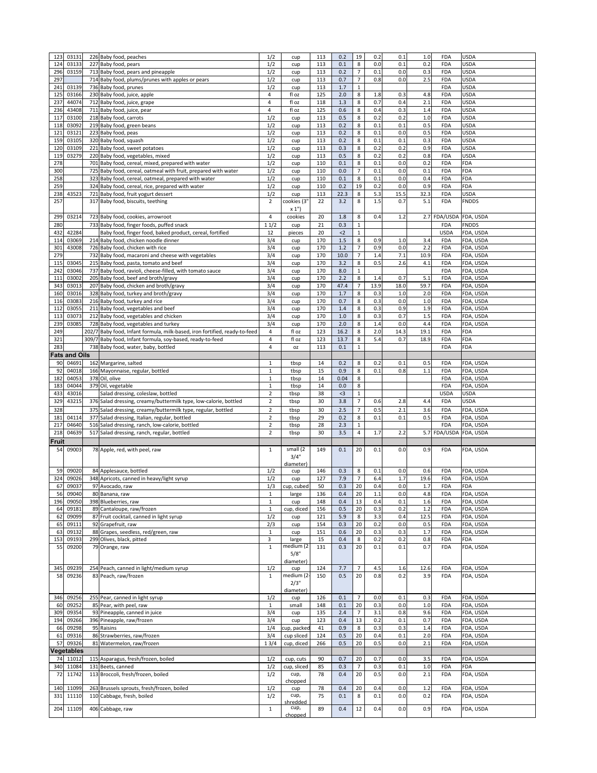| 123          | 03131                | 226 Baby food, peaches                                                     | 1/2            | cup         | 113 | 0.2   | 19             | 0.2     | 0.1  | 1.0     | <b>FDA</b>             | <b>USDA</b>  |
|--------------|----------------------|----------------------------------------------------------------------------|----------------|-------------|-----|-------|----------------|---------|------|---------|------------------------|--------------|
| 124          | 03133                | 227 Baby food, pears                                                       | 1/2            | cup         | 113 | 0.1   | 8              | 0.0     | 0.1  | 0.2     | <b>FDA</b>             | <b>USDA</b>  |
| 296          | 03159                | 713 Baby food, pears and pineapple                                         | 1/2            | cup         | 113 | 0.2   | $\overline{7}$ | 0.1     | 0.0  | 0.3     | <b>FDA</b>             | <b>USDA</b>  |
| 297          |                      | 714 Baby food, plums/prunes with apples or pears                           | 1/2            | cup         | 113 | 0.7   | $\overline{7}$ | 0.8     | 0.0  | 2.5     | <b>FDA</b>             | <b>USDA</b>  |
|              |                      |                                                                            |                |             |     |       |                |         |      |         |                        |              |
| 241          | 03139                | 736 Baby food, prunes                                                      | 1/2            | cup         | 113 | 1.7   | 1              |         |      |         | <b>FDA</b>             | <b>USDA</b>  |
| 125          | 03166                | 230 Baby food, juice, apple                                                | 4              | fl oz       | 125 | 2.0   | 8              | 1.8     | 0.3  | 4.8     | <b>FDA</b>             | <b>USDA</b>  |
| 237          | 44074                | 712 Baby food, juice, grape                                                | 4              | fl oz       | 118 | 1.3   | 8              | 0.7     | 0.4  | 2.1     | <b>FDA</b>             | <b>USDA</b>  |
| 236          | 43408                | 711 Baby food, juice, pear                                                 | 4              | fl oz       | 125 | 0.6   | 8              | 0.4     | 0.3  | 1.4     | <b>FDA</b>             | <b>USDA</b>  |
|              |                      |                                                                            |                |             |     |       |                |         |      |         |                        |              |
| 117          | 03100                | 218 Baby food, carrots                                                     | 1/2            | cup         | 113 | 0.5   | 8              | 0.2     | 0.2  | $1.0\,$ | <b>FDA</b>             | <b>USDA</b>  |
| 118          | 03092                | 219 Baby food, green beans                                                 | 1/2            | cup         | 113 | 0.2   | 8              | 0.1     | 0.1  | 0.5     | <b>FDA</b>             | <b>USDA</b>  |
| 121          | 03121                | 223 Baby food, peas                                                        | 1/2            | cup         | 113 | 0.2   | 8              | 0.1     | 0.0  | 0.5     | <b>FDA</b>             | <b>USDA</b>  |
|              |                      |                                                                            |                |             |     |       |                |         |      |         |                        |              |
| 159          | 03105                | 320 Baby food, squash                                                      | 1/2            | cup         | 113 | 0.2   | 8              | 0.1     | 0.1  | 0.3     | <b>FDA</b>             | <b>USDA</b>  |
| 120          | 03109                | 221 Baby food, sweet potatoes                                              | 1/2            | cup         | 113 | 0.3   | 8              | 0.2     | 0.2  | 0.9     | <b>FDA</b>             | <b>USDA</b>  |
| 119          | 03279                | 220 Baby food, vegetables, mixed                                           | 1/2            | cup         | 113 | 0.5   | 8              | 0.2     | 0.2  | 0.8     | <b>FDA</b>             | <b>USDA</b>  |
| 278          |                      | 701 Baby food, cereal, mixed, prepared with water                          | 1/2            | cup         | 110 | 0.1   | 8              | 0.1     | 0.0  | 0.2     | <b>FDA</b>             | <b>FDA</b>   |
|              |                      |                                                                            |                |             |     |       |                |         |      |         |                        |              |
| 300          |                      | 725 Baby food, cereal, oatmeal with fruit, prepared with water             | 1/2            | cup         | 110 | 0.0   | $\overline{7}$ | 0.1     | 0.0  | 0.1     | <b>FDA</b>             | <b>FDA</b>   |
| 258          |                      | 323 Baby food, cereal, oatmeal, prepared with water                        | 1/2            | cup         | 110 | 0.1   | 8              | 0.1     | 0.0  | 0.4     | <b>FDA</b>             | <b>FDA</b>   |
| 259          |                      | 324 Baby food, cereal, rice, prepared with water                           | 1/2            | cup         | 110 | 0.2   | 19             | 0.2     | 0.0  | 0.9     | <b>FDA</b>             | <b>FDA</b>   |
| 238          | 43523                |                                                                            | 1/2            |             | 113 | 22.3  | 8              | 5.3     | 15.5 | 32.3    | <b>FDA</b>             | <b>USDA</b>  |
|              |                      | 721 Baby food, fruit yogurt dessert                                        |                | cup         |     |       |                |         |      |         |                        |              |
| 257          |                      | 317 Baby food, biscuits, teething                                          | $\overline{2}$ | cookies (3' | 22  | 3.2   | 8              | 1.5     | 0.7  | 5.1     | <b>FDA</b>             | <b>FNDDS</b> |
|              |                      |                                                                            |                | x 1"        |     |       |                |         |      |         |                        |              |
| 299          | 03214                | 723 Baby food, cookies, arrowroot                                          | 4              | cookies     | 20  | 1.8   | 8              | 0.4     | 1.2  |         | 2.7 FDA/USDA FDA, USDA |              |
|              |                      |                                                                            |                |             |     |       |                |         |      |         |                        |              |
| 280          |                      | 733 Baby food, finger foods, puffed snack                                  | 11/2           | cup         | 21  | 0.3   |                |         |      |         | <b>FDA</b>             | <b>FNDDS</b> |
| 432          | 42284                | Baby food, finger food, baked product, cereal, fortified                   | 12             | pieces      | 20  | $2$   |                |         |      |         | <b>USDA</b>            | FDA, USDA    |
| 114          | 03069                | 214 Baby food, chicken noodle dinner                                       | 3/4            | cup         | 170 | 1.5   | 8              | 0.9     | 1.0  | 3.4     | <b>FDA</b>             | FDA, USDA    |
|              |                      |                                                                            |                |             |     | 1.2   |                |         |      |         |                        |              |
| 301          | 43008                | 726 Baby food, chicken with rice                                           | 3/4            | cup         | 170 |       |                | 0.9     | 0.0  | 2.2     | <b>FDA</b>             | FDA, USDA    |
| 279          |                      | 732 Baby food, macaroni and cheese with vegetables                         | 3/4            | cup         | 170 | 10.0  | $\overline{7}$ | 1.4     | 7.1  | 10.9    | <b>FDA</b>             | FDA, USDA    |
| 115          | 03045                | 215 Baby food, pasta, tomato and beef                                      | 3/4            | cup         | 170 | 3.2   | 8              | 0.5     | 2.6  | 4.1     | <b>FDA</b>             | FDA, USDA    |
| 242          | 03046                | 737 Baby food, ravioli, cheese-filled, with tomato sauce                   | 3/4            |             | 170 | 8.0   |                |         |      |         | <b>FDA</b>             | FDA, USDA    |
|              |                      |                                                                            |                | cup         |     |       |                |         |      |         |                        |              |
| 111          | 03002                | 205 Baby food, beef and broth/gravy                                        | 3/4            | cup         | 170 | 2.2   | 8              | 1.4     | 0.7  | 5.1     | <b>FDA</b>             | FDA, USDA    |
| 343          | 03013                | 207 Baby food, chicken and broth/gravy                                     | 3/4            | cup         | 170 | 47.4  | 7              | 13.9    | 18.0 | 59.7    | <b>FDA</b>             | FDA, USDA    |
| 160          | 03016                | 328 Baby food, turkey and broth/gravy                                      | 3/4            | cup         | 170 | 1.7   | 8              | 0.3     | 1.0  | 2.0     | <b>FDA</b>             | FDA, USDA    |
|              |                      |                                                                            |                |             |     |       |                |         |      |         |                        |              |
| 116          | 03083                | 216 Baby food, turkey and rice                                             | 3/4            | cup         | 170 | 0.7   | 8              | 0.3     | 0.0  | 1.0     | <b>FDA</b>             | FDA, USDA    |
| 112          | 03055                | 211 Baby food, vegetables and beef                                         | 3/4            | cup         | 170 | 1.4   | 8              | 0.3     | 0.9  | 1.9     | <b>FDA</b>             | FDA, USDA    |
| 113          | 03073                | 212 Baby food, vegetables and chicken                                      | 3/4            | cup         | 170 | 1.0   | 8              | 0.3     | 0.7  | 1.5     | <b>FDA</b>             | FDA, USDA    |
|              |                      |                                                                            |                |             |     |       |                |         |      |         |                        |              |
| 239          | 03085                | 728 Baby food, vegetables and turkey                                       | 3/4            | cup         | 170 | 2.0   | 8              | 1.4     | 0.0  | 4.4     | <b>FDA</b>             | FDA, USDA    |
| 249          |                      | 202/7 Baby food, Infant formula, milk-based, iron fortified, ready-to-feed | 4              | fl oz       | 123 | 16.2  | 8              | 2.0     | 14.3 | 19.1    | <b>FDA</b>             | <b>FDA</b>   |
| 321          |                      | 309/7 Baby food, Infant formula, soy-based, ready-to-feed                  | 4              | fl oz       | 123 | 13.7  | 8              | 5.4     | 0.7  | 18.9    | <b>FDA</b>             | <b>FDA</b>   |
| 283          |                      |                                                                            | 4              |             | 113 | 0.1   |                |         |      |         | <b>FDA</b>             | <b>FDA</b>   |
|              |                      | 738 Baby food, water, baby, bottled                                        |                | <b>OZ</b>   |     |       |                |         |      |         |                        |              |
|              | <b>Fats and Oils</b> |                                                                            |                |             |     |       |                |         |      |         |                        |              |
| 90           | 04691                | 162 Margarine, salted                                                      | $\mathbf{1}$   | tbsp        | 14  | 0.2   | 8              | 0.2     | 0.1  | 0.5     | <b>FDA</b>             | FDA, USDA    |
| 92           | 04018                |                                                                            |                |             | 15  | 0.9   | 8              | 0.1     | 0.8  | 1.1     | <b>FDA</b>             |              |
|              |                      | 166 Mayonnaise, regular, bottled                                           | $\mathbf{1}$   | tbsp        |     |       |                |         |      |         |                        | FDA, USDA    |
| 182          | 04053                | 378 Oil, olive                                                             | $\mathbf{1}$   | tbsp        | 14  | 0.04  | 8              |         |      |         | <b>FDA</b>             | FDA, USDA    |
| 183          | 04044                | 379 Oil, vegetable                                                         | $\mathbf{1}$   | tbsp        | 14  | 0.0   | 8              |         |      |         | <b>FDA</b>             | FDA, USDA    |
|              |                      |                                                                            |                |             |     |       |                |         |      |         |                        |              |
|              |                      |                                                                            |                |             |     |       |                |         |      |         |                        |              |
| 433          | 43016                | Salad dressing, coleslaw, bottled                                          | $\overline{2}$ | tbsp        | 38  | $<$ 3 |                |         |      |         | <b>USDA</b>            | <b>USDA</b>  |
| 329          | 43215                | 376 Salad dressing, creamy/buttermilk type, low-calorie, bottled           | $\overline{2}$ | tbsp        | 30  | 3.8   | $\overline{7}$ | 0.6     | 2.8  | 4.4     | <b>FDA</b>             | <b>USDA</b>  |
|              |                      |                                                                            |                |             |     |       |                |         |      |         | <b>FDA</b>             |              |
| 328          |                      | 375 Salad dressing, creamy/buttermilk type, regular, bottled               | $\overline{2}$ | tbsp        | 30  | 2.5   |                | 0.5     | 2.1  | 3.6     |                        | FDA, USDA    |
| 181          | 04114                | 377 Salad dressing, Italian, regular, bottled                              | $\overline{2}$ | tbsp        | 29  | 0.2   | 8              | 0.1     | 0.1  | 0.5     | <b>FDA</b>             | FDA, USDA    |
| 217          | 04640                | 516 Salad dressing, ranch, low-calorie, bottled                            | $\overline{2}$ | tbsp        | 28  | 2.3   |                |         |      |         | <b>FDA</b>             | FDA, USDA    |
| 218          | 04639                | 517 Salad dressing, ranch, regular, bottled                                | $\overline{2}$ | tbsp        | 30  | 3.5   | 4              | 1.7     | 2.2  |         | 5.7 FDA/USDA FDA, USDA |              |
|              |                      |                                                                            |                |             |     |       |                |         |      |         |                        |              |
| <b>Fruit</b> |                      |                                                                            |                |             |     |       |                |         |      |         |                        |              |
| 54           | 09003                | 78 Apple, red, with peel, raw                                              | $\mathbf{1}$   | small (2    | 149 | 0.1   | 20             | 0.1     | 0.0  | 0.9     | <b>FDA</b>             | FDA, USDA    |
|              |                      |                                                                            |                | 3/4"        |     |       |                |         |      |         |                        |              |
|              |                      |                                                                            |                |             |     |       |                |         |      |         |                        |              |
|              |                      |                                                                            |                | diameter)   |     |       |                |         |      |         |                        |              |
| 59           | 09020                | 84 Applesauce, bottled                                                     | 1/2            | cup         | 146 | 0.3   | 8              | 0.1     | 0.0  | 0.6     | <b>FDA</b>             | FDA, USDA    |
| 324          | 09026                | 348 Apricots, canned in heavy/light syrup                                  | 1/2            | cup         | 127 | 7.9   |                | 6.4     | 1.7  | 19.6    | <b>FDA</b>             | FDA, USDA    |
| 67           | 09037                | 97 Avocado, raw                                                            | 1/3            | cup, cubed  | 50  | 0.3   | 20             | 0.4     | 0.0  | 1.7     | <b>FDA</b>             | <b>FDA</b>   |
| 56           | 09040                |                                                                            | $\mathbf{1}$   |             | 136 | 0.4   | 20             | 1.1     | 0.0  |         | <b>FDA</b>             |              |
|              |                      | 80 Banana, raw                                                             |                | large       |     |       |                |         |      | 4.8     |                        | FDA, USDA    |
| 196          | 09050                | 398 Blueberries, raw                                                       | $\mathbf{1}$   | cup         | 148 | 0.4   | 13             | 0.4     | 0.1  | 1.6     | <b>FDA</b>             | FDA, USDA    |
| 64           | 09181                | 89 Cantaloupe, raw/frozen                                                  | $\mathbf{1}$   | cup, diced  | 156 | 0.5   | 20             | 0.3     | 0.2  | 1.2     | <b>FDA</b>             | FDA, USDA    |
| 62           | 09099                | 87 Fruit cocktail, canned in light syrup                                   | 1/2            | cup         | 121 | 5.9   | 8              | 3.3     | 0.4  | 12.5    | <b>FDA</b>             | FDA, USDA    |
|              |                      |                                                                            |                |             |     |       |                |         |      |         | <b>FDA</b>             |              |
| 65           | 09111                | 92 Grapefruit, raw                                                         | 2/3            | cup         | 154 | 0.3   | 20             | $0.2\,$ | 0.0  | 0.5     |                        | FDA, USDA    |
| 63           | 09132                | 88 Grapes, seedless, red/green, raw                                        | $\mathbf{1}$   | cup         | 151 | 0.6   | 20             | 0.3     | 0.3  | 1.7     | <b>FDA</b>             | FDA, USDA    |
| 153          | 09193                | 299 Olives, black, pitted                                                  | $\mathbf{3}$   | large       | 15  | 0.4   | 8              | 0.2     | 0.2  | 0.8     | <b>FDA</b>             | <b>FDA</b>   |
| 55           | 09200                | 79 Orange, raw                                                             | $\mathbf{1}$   | medium (2   | 131 | 0.3   | 20             | 0.1     | 0.1  | 0.7     | <b>FDA</b>             | FDA, USDA    |
|              |                      |                                                                            |                | 5/8"        |     |       |                |         |      |         |                        |              |
|              |                      |                                                                            |                |             |     |       |                |         |      |         |                        |              |
|              |                      |                                                                            |                | diameter)   |     |       |                |         |      |         |                        |              |
| 345          | 09239                | 254 Peach, canned in light/medium syrup                                    | 1/2            | cup         | 124 | 7.7   | $\overline{7}$ | 4.5     | 1.6  | 12.6    | <b>FDA</b>             | FDA, USDA    |
| 58           | 09236                | 83 Peach, raw/frozen                                                       | $\mathbf{1}$   | medium (2   | 150 | 0.5   | 20             | 0.8     | 0.2  | 3.9     | <b>FDA</b>             | FDA, USDA    |
|              |                      |                                                                            |                | 2/3"        |     |       |                |         |      |         |                        |              |
|              |                      |                                                                            |                |             |     |       |                |         |      |         |                        |              |
|              |                      |                                                                            |                | diameter)   |     |       |                |         |      |         |                        |              |
| 346          | 09256                | 255 Pear, canned in light syrup                                            | 1/2            | cup         | 126 | 0.1   | $\overline{7}$ | 0.0     | 0.1  | 0.3     | <b>FDA</b>             | FDA, USDA    |
| 60           | 09252                | 85 Pear, with peel, raw                                                    | 1              | small       | 148 | 0.1   | 20             | 0.3     | 0.0  | 1.0     | <b>FDA</b>             | FDA, USDA    |
| 309          | 09354                | 93 Pineapple, canned in juice                                              | 3/4            | cup         | 135 | 2.4   | $\overline{7}$ | 3.1     | 0.8  | 9.6     | <b>FDA</b>             | FDA, USDA    |
|              |                      |                                                                            |                |             |     |       |                |         |      |         |                        |              |
| 194          | 09266                | 396 Pineapple, raw/frozen                                                  | 3/4            | cup         | 123 | 0.4   | 13             | 0.2     | 0.1  | 0.7     | <b>FDA</b>             | FDA, USDA    |
| 66           | 09298                | 95 Raisins                                                                 | 1/4            | cup, packed | 41  | 0.9   | 8              | 0.3     | 0.3  | 1.4     | <b>FDA</b>             | FDA, USDA    |
| 61           | 09316                | 86 Strawberries, raw/frozen                                                | 3/4            | cup sliced  | 124 | 0.5   | 20             | 0.4     | 0.1  | 2.0     | <b>FDA</b>             | FDA, USDA    |
|              |                      |                                                                            |                |             |     |       |                |         |      |         |                        |              |
| 57           | 09326                | 81 Watermelon, raw/frozen                                                  | 13/4           | cup, diced  | 266 | 0.5   | 20             | 0.5     | 0.0  | 2.1     | <b>FDA</b>             | FDA, USDA    |
|              | <b>Vegetables</b>    |                                                                            |                |             |     |       |                |         |      |         |                        |              |
| 74           | 11012                | 115 Asparagus, fresh/frozen, boiled                                        | 1/2            | cup, cuts   | 90  | 0.7   | 20             | 0.7     | 0.0  | 3.5     | <b>FDA</b>             | FDA, USDA    |
| 340          | 11084                | 131 Beets, canned                                                          | 1/2            | cup, sliced | 85  | 0.3   |                | 0.3     | 0.1  | $1.0\,$ | <b>FDA</b>             | <b>FDA</b>   |
|              |                      |                                                                            |                |             |     |       |                |         |      |         |                        |              |
| <b>72</b>    | 11742                | 113 Broccoli, fresh/frozen, boiled                                         | 1/2            | cup,        | 78  | 0.4   | 20             | 0.5     | 0.0  | 2.1     | <b>FDA</b>             | FDA, USDA    |
|              |                      |                                                                            |                | chopped     |     |       |                |         |      |         |                        |              |
| 140          | 11099                | 263 Brussels sprouts, fresh/frozen, boiled                                 | 1/2            | cup         | 78  | 0.4   | 20             | 0.4     | 0.0  | 1.2     | <b>FDA</b>             | FDA, USDA    |
| 331          | 11110                | 110 Cabbage, fresh, boiled                                                 | 1/2            | cup,        | 75  | 0.1   | 8              | 0.1     | 0.0  | 0.2     | <b>FDA</b>             | FDA, USDA    |
|              |                      |                                                                            |                | shredded    |     |       |                |         |      |         |                        |              |
| 204          | 11109                | 406 Cabbage, raw                                                           | $\mathbf{1}$   | cup,        | 89  | 0.4   | 12             | 0.4     | 0.0  | 0.9     | <b>FDA</b>             | FDA, USDA    |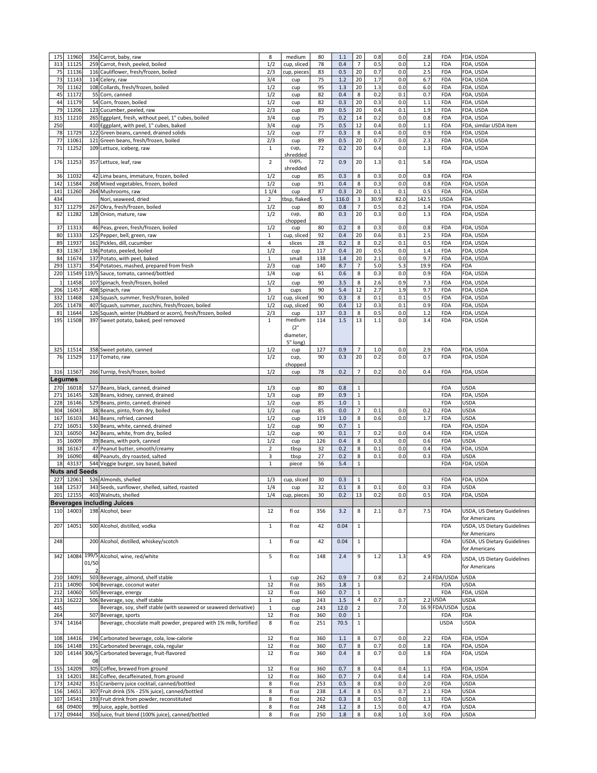| 175<br>313 |                       |       | 356 Carrot, baby, raw                                                           | 8              | medium         |            |            |                |            |            | 2.8        | <b>FDA</b>               | FDA, USDA                          |
|------------|-----------------------|-------|---------------------------------------------------------------------------------|----------------|----------------|------------|------------|----------------|------------|------------|------------|--------------------------|------------------------------------|
|            | 11960                 |       |                                                                                 |                |                | 80         | 1.1        | 20             | 0.8        | 0.0        |            |                          |                                    |
|            | 11125                 |       | 259 Carrot, fresh, peeled, boiled                                               | 1/2            | cup, sliced    | 78         | 0.4        | 7              | 0.5        | 0.0        | 1.2        | <b>FDA</b>               | FDA, USDA                          |
| 75         | 11136                 |       | 116 Cauliflower, fresh/frozen, boiled                                           | 2/3            | cup, pieces    | 83         | 0.5        | 20             | 0.7        | 0.0        | 2.5        | <b>FDA</b>               | FDA, USDA                          |
| 73         | 11143                 |       | 114 Celery, raw                                                                 | 3/4            | cup            | 75         | 1.2        | 20             | 1.7        | 0.0        | 6.7        | <b>FDA</b>               | FDA, USDA                          |
| 70         | 11162                 |       | 108 Collards, fresh/frozen, boiled                                              | 1/2            | cup            | 95         | 1.3        | 20             | 1.3        | 0.0        | $6.0\,$    | <b>FDA</b>               | FDA, USDA                          |
|            |                       |       |                                                                                 |                |                |            |            |                |            |            |            |                          |                                    |
| 45         | 11172                 |       | 55 Corn, canned                                                                 | 1/2            | cup            | 82         | 0.4        | 8              | 0.2        | 0.1        | 0.7        | <b>FDA</b>               | FDA, USDA                          |
| 44         | 11179                 |       | 54 Corn, frozen, boiled                                                         | 1/2            | cup            | 82         | 0.3        | 20             | 0.3        | 0.0        | 1.1        | <b>FDA</b>               | FDA, USDA                          |
| 79         | 11206                 |       | 123 Cucumber, peeled, raw                                                       | 2/3            | cup            | 89         | 0.5        | 20             | 0.4        | 0.1        | 1.9        | <b>FDA</b>               | FDA, USDA                          |
| 315        | 11210                 |       | 265 Eggplant, fresh, without peel, 1" cubes, boiled                             | 3/4            |                | 75         | 0.2        | 14             | 0.2        | 0.0        | 0.8        | <b>FDA</b>               | FDA, USDA                          |
|            |                       |       |                                                                                 |                | cup            |            |            |                |            |            |            |                          |                                    |
| 250        |                       |       | 410 Eggplant, with peel, 1" cubes, baked                                        | 3/4            | cup            | 75         | 0.5        | 12             | 0.4        | 0.0        | 1.1        | <b>FDA</b>               | FDA, similar USDA item             |
| 78         | 11729                 |       | 122 Green beans, canned, drained solids                                         | 1/2            | cup            | 77         | 0.3        | 8              | 0.4        | 0.0        | 0.9        | <b>FDA</b>               | FDA, USDA                          |
| 77         | 11061                 |       | 121 Green beans, fresh/frozen, boiled                                           | 2/3            | cup            | 89         | 0.5        | 20             | 0.7        | 0.0        | 2.3        | <b>FDA</b>               | FDA, USDA                          |
|            |                       |       |                                                                                 |                |                |            |            |                |            |            |            |                          |                                    |
| 71         | 11252                 |       | 109 Lettuce, iceberg, raw                                                       | $\mathbf{1}$   | cup,           | 72         | 0.2        | 20             | 0.4        | 0.0        | 1.3        | <b>FDA</b>               | FDA, USDA                          |
|            |                       |       |                                                                                 |                | shredded       |            |            |                |            |            |            |                          |                                    |
| 176        | 11253                 |       | 357 Lettuce, leaf, raw                                                          | $\overline{2}$ | cups,          | 72         | 0.9        | 20             | 1.3        | 0.1        | 5.8        | <b>FDA</b>               | FDA, USDA                          |
|            |                       |       |                                                                                 |                | shredded       |            |            |                |            |            |            |                          |                                    |
|            |                       |       |                                                                                 |                |                |            |            |                |            |            |            |                          | <b>FDA</b>                         |
| 36         | 11032                 |       | 42 Lima beans, immature, frozen, boiled                                         | 1/2            | cup            | 85         | 0.3        | 8              | 0.3        | 0.0        | 0.8        | <b>FDA</b>               |                                    |
| 142        | 11584                 |       | 268 Mixed vegetables, frozen, boiled                                            | 1/2            | cup            | 91         | 0.4        | 8              | 0.3        | 0.0        | 0.8        | <b>FDA</b>               | FDA, USDA                          |
| 141        | 11260                 |       | 264 Mushrooms, raw                                                              | 11/4           | cup            | 87         | 0.3        | 20             | 0.1        | 0.1        | 0.5        | <b>FDA</b>               | FDA, USDA                          |
| 434        |                       |       | Nori, seaweed, dried                                                            | $\overline{2}$ | tbsp, flaked   | 5          | 116.0      | 3              | 30.9       | 82.0       | 142.5      | <b>USDA</b>              | <b>FDA</b>                         |
|            |                       |       |                                                                                 |                |                |            |            |                |            |            |            |                          |                                    |
| 317        | 11279                 |       | 267 Okra, fresh/frozen, boiled                                                  | 1/2            | cup            | 80         | 0.8        |                | 0.5        | 0.2        | 1.4        | <b>FDA</b>               | FDA, USDA                          |
| 82         | 11282                 |       | 128 Onion, mature, raw                                                          | 1/2            | cup,           | 80         | 0.3        | 20             | 0.3        | 0.0        | 1.3        | <b>FDA</b>               | FDA, USDA                          |
|            |                       |       |                                                                                 |                | chopped        |            |            |                |            |            |            |                          |                                    |
| 37         | 11313                 |       | 46 Peas, green, fresh/frozen, boiled                                            | 1/2            | cup            | 80         | 0.2        | 8              | 0.3        | 0.0        | 0.8        | <b>FDA</b>               | FDA, USDA                          |
|            |                       |       |                                                                                 |                |                |            |            |                |            |            |            |                          |                                    |
| 80         | 11333                 |       | 125 Pepper, bell, green, raw                                                    | $\mathbf{1}$   | cup, sliced    | 92         | 0.4        | 20             | 0.6        | 0.1        | 2.5        | <b>FDA</b>               | FDA, USDA                          |
| 89         | 11937                 |       | 161 Pickles, dill, cucumber                                                     | 4              | slices         | 28         | 0.2        | 8              | 0.2        | 0.1        | 0.5        | <b>FDA</b>               | FDA, USDA                          |
| 83         | 11367                 |       | 136 Potato, peeled, boiled                                                      | 1/2            | cup            | 117        | 0.4        | 20             | 0.5        | 0.0        | 1.4        | <b>FDA</b>               | FDA, USDA                          |
|            |                       |       |                                                                                 |                |                |            |            |                |            |            |            |                          |                                    |
| 84         | 11674                 |       | 137 Potato, with peel, baked                                                    | $\mathbf{1}$   | small          | 138        | 1.4        | 20             | 2.1        | 0.0        | 9.7        | <b>FDA</b>               | FDA, USDA                          |
| 293        | 11371                 |       | 354 Potatoes, mashed, prepared from fresh                                       | 2/3            | cup            | 140        | 8.7        | 7              | 5.0        | 5.3        | 19.9       | <b>FDA</b>               | <b>FDA</b>                         |
| 220        |                       |       | 11549 119/5 Sauce, tomato, canned/bottled                                       | 1/4            | cup            | 61         | 0.6        | 8              | 0.3        | 0.0        | 0.9        | <b>FDA</b>               | FDA, USDA                          |
|            |                       |       |                                                                                 |                |                |            |            |                |            |            |            |                          |                                    |
|            | 11458                 |       | 107 Spinach, fresh/frozen, boiled                                               | 1/2            | cup            | 90         | 3.5        | 8              | 2.6        | 0.9        | 7.3        | <b>FDA</b>               | FDA, USDA                          |
|            | 206 11457             |       | 408 Spinach, raw                                                                | 3              | cups           | 90         | 5.4        | 12             | 2.7        | 1.9        | 9.7        | <b>FDA</b>               | FDA, USDA                          |
|            |                       |       |                                                                                 |                |                |            |            |                |            |            |            |                          |                                    |
| 332        | 11468                 |       | 124 Squash, summer, fresh/frozen, boiled                                        | 1/2            | cup, sliced    | 90         | 0.3        | 8              | 0.1        | 0.1        | 0.5        | <b>FDA</b>               | FDA, USDA                          |
| 205        | 11478                 |       | 407 Squash, summer, zucchini, fresh/frozen, boiled                              | 1/2            | cup, sliced    | 90         | 0.4        | 12             | 0.3        | 0.1        | 0.9        | <b>FDA</b>               | FDA, USDA                          |
|            |                       |       |                                                                                 |                |                |            |            |                |            |            |            |                          |                                    |
| 81         | 11644                 |       | 126 Squash, winter (Hubbard or acorn), fresh/frozen, boiled                     | 2/3            | cup            | 137        | 0.3        | 8              | 0.5        | 0.0        | 1.2        | <b>FDA</b>               | FDA, USDA                          |
| 195        | 11508                 |       | 397 Sweet potato, baked, peel removed                                           | $\mathbf{1}$   | medium         | 114        | 1.5        | 13             | 1.1        | 0.0        | 3.4        | <b>FDA</b>               | FDA, USDA                          |
|            |                       |       |                                                                                 |                | (2"            |            |            |                |            |            |            |                          |                                    |
|            |                       |       |                                                                                 |                |                |            |            |                |            |            |            |                          |                                    |
|            |                       |       |                                                                                 |                | diameter,      |            |            |                |            |            |            |                          |                                    |
|            |                       |       |                                                                                 |                | 5" long)       |            |            |                |            |            |            |                          |                                    |
| 325        | 11514                 |       | 358 Sweet potato, canned                                                        | 1/2            | cup            | 127        | 0.9        | 7              | 1.0        | 0.0        | 2.9        | <b>FDA</b>               | FDA, USDA                          |
|            |                       |       |                                                                                 |                |                |            |            |                |            |            |            |                          |                                    |
| 76         | 11529                 |       | 117 Tomato, raw                                                                 | 1/2            | cup,           | 90         | 0.3        | 20             | 0.2        | 0.0        | 0.7        | <b>FDA</b>               | FDA, USDA                          |
|            |                       |       |                                                                                 |                | chopped        |            |            |                |            |            |            |                          |                                    |
|            | 316 11567             |       | 266 Turnip, fresh/frozen, boiled                                                | 1/2            | cup            | 78         | 0.2        | 7              | 0.2        | 0.0        | 0.4        | <b>FDA</b>               | FDA, USDA                          |
|            |                       |       |                                                                                 |                |                |            |            |                |            |            |            |                          |                                    |
|            | <b>Legumes</b>        |       |                                                                                 |                |                |            |            |                |            |            |            |                          |                                    |
| 270        | 16018                 |       | 527 Beans, black, canned, drained                                               | 1/3            | cup            | 80         | 0.8        | 1              |            |            |            | <b>FDA</b>               | <b>USDA</b>                        |
| 271        | 16145                 |       |                                                                                 | 1/3            |                | 89         | 0.9        |                |            |            |            | <b>FDA</b>               | FDA, USDA                          |
|            |                       |       | 528 Beans, kidney, canned, drained                                              |                | cup            |            |            | $\mathbf{1}$   |            |            |            |                          |                                    |
| 228        | 16146                 |       | 529 Beans, pinto, canned, drained                                               | 1/2            | cup            | 85         | 1.0        | 1              |            |            |            | <b>FDA</b>               | <b>USDA</b>                        |
| 304        | 16043                 |       | 38 Beans, pinto, from dry, boiled                                               | 1/2            | cup            | 85         | 0.0        | $\overline{7}$ | 0.1        | 0.0        | 0.2        | <b>FDA</b>               | <b>USDA</b>                        |
|            |                       |       |                                                                                 |                |                |            |            |                |            |            |            |                          |                                    |
| 167        | 16103                 |       | 341 Beans, refried, canned                                                      | 1/2            | cup            | 119        | 1.0        | 8              | 0.6        | 0.0        | 1.7        | <b>FDA</b>               | <b>USDA</b>                        |
| 272        | 16051                 |       | 530 Beans, white, canned, drained                                               | 1/2            | cup            | 90         | 0.7        | $\mathbf{1}$   |            |            |            | <b>FDA</b>               | FDA, USDA                          |
| 323        | 16050                 |       | 342 Beans, white, from dry, boiled                                              | 1/2            | cup            | 90         | 0.1        | $\overline{7}$ | 0.2        | 0.0        | 0.4        | <b>FDA</b>               | FDA, USDA                          |
|            |                       |       |                                                                                 |                |                |            |            |                |            |            |            |                          |                                    |
| 35         | 16009                 |       | 39 Beans, with pork, canned                                                     | 1/2            | cup            | 126        | 0.4        | 8              | 0.3        | 0.0        | 0.6        | <b>FDA</b>               | <b>USDA</b>                        |
| 38         | 16167                 |       | 47 Peanut butter, smooth/creamy                                                 | $\overline{2}$ | tbsp           | 32         | 0.2        | 8              | 0.1        | 0.0        | 0.4        | <b>FDA</b>               | FDA, USDA                          |
|            | 16090                 |       | 48 Peanuts, dry roasted, salted                                                 |                |                |            |            |                |            |            |            |                          |                                    |
|            |                       |       |                                                                                 |                |                |            |            |                |            |            |            |                          |                                    |
| 39         |                       |       |                                                                                 | $\mathbf{3}$   | tbsp           | 27         | 0.2        | 8              | 0.1        | 0.0        | 0.3        | <b>FDA</b>               | <b>USDA</b>                        |
| 18         | 43137                 |       | 544 Veggie burger, soy based, baked                                             | $\mathbf{1}$   | piece          | 56         | 5.4        |                |            |            |            | <b>FDA</b>               | FDA, USDA                          |
|            | <b>Nuts and Seeds</b> |       |                                                                                 |                |                |            |            |                |            |            |            |                          |                                    |
|            |                       |       |                                                                                 |                |                |            |            |                |            |            |            |                          |                                    |
| 227        | 12061                 |       | 526 Almonds, shelled                                                            | 1/3            | cup, sliced    | 30         | 0.3        | 1              |            |            |            | <b>FDA</b>               | FDA, USDA                          |
| 168        | 12537                 |       | 343 Seeds, sunflower, shelled, salted, roasted                                  | 1/4            | cup            | 32         | 0.1        | 8              | 0.1        | 0.0        | 0.3        | <b>FDA</b>               | <b>USDA</b>                        |
| 201        | 12155                 |       |                                                                                 | 1/4            |                | 30         | 0.2        |                | 0.2        | 0.0        | 0.5        | <b>FDA</b>               |                                    |
|            |                       |       | 403 Walnuts, shelled                                                            |                | cup, pieces    |            |            | 13             |            |            |            |                          | FDA, USDA                          |
|            |                       |       | <b>Beverages including Juices</b>                                               |                |                |            |            |                |            |            |            |                          |                                    |
|            | 110 14003             |       | 198 Alcohol, beer                                                               | 12             | fl oz          | 356        | 3.2        | 8              | 2.1        | 0.7        | 7.5        | <b>FDA</b>               | USDA, US Dietary Guidelines        |
|            |                       |       |                                                                                 |                |                |            |            |                |            |            |            |                          | for Americans                      |
|            |                       |       |                                                                                 |                |                |            |            |                |            |            |            |                          |                                    |
|            |                       |       | 207 14051 500 Alcohol, distilled, vodka                                         | $\mathbf{1}$   | fl oz          | 42         | 0.04       | $\mathbf{1}$   |            |            |            | <b>FDA</b>               | USDA, US Dietary Guidelines        |
|            |                       |       |                                                                                 |                |                |            |            |                |            |            |            |                          | for Americans                      |
|            |                       |       |                                                                                 |                |                |            |            |                |            |            |            |                          |                                    |
| 248        |                       |       | 200 Alcohol, distilled, whiskey/scotch                                          | $\mathbf{1}$   | fl oz          | 42         | 0.04       | $\mathbf{1}$   |            |            |            | <b>FDA</b>               | <b>USDA, US Dietary Guidelines</b> |
|            |                       |       |                                                                                 |                |                |            |            |                |            |            |            |                          | for Americans                      |
| 342        | 14084                 |       | 199/5 Alcohol, wine, red/white                                                  | 5              | fl oz          | 148        | 2.4        | 9              | 1.2        | 1.3        | 4.9        | <b>FDA</b>               |                                    |
|            |                       |       |                                                                                 |                |                |            |            |                |            |            |            |                          | <b>USDA, US Dietary Guidelines</b> |
|            |                       | 01/50 |                                                                                 |                |                |            |            |                |            |            |            |                          | for Americans                      |
|            |                       |       |                                                                                 |                |                |            |            |                |            |            |            |                          |                                    |
| 210        | 14091                 |       | 503 Beverage, almond, shelf stable                                              | $\mathbf{1}$   | cup            | 262        | 0.9        | $\overline{7}$ | 0.8        | 0.2        |            | 2.4 FDA/USDA             | <b>USDA</b>                        |
| 211        | 14090                 |       | 504 Beverage, coconut water                                                     | 12             | fl oz          | 365        | 1.8        | 1              |            |            |            | <b>FDA</b>               | <b>USDA</b>                        |
|            |                       |       |                                                                                 |                |                |            |            |                |            |            |            |                          |                                    |
| 212        | 14060                 |       | 505 Beverage, energy                                                            | 12             | fl oz          | 360        | 0.7        |                |            |            |            | <b>FDA</b>               | FDA, USDA                          |
| 213        | 16222                 |       | 506 Beverage, soy, shelf stable                                                 | $\mathbf{1}$   | cup            | 243        | 1.5        | 4              | 0.7        | 0.7        |            | $2.2$ USDA               | <b>USDA</b>                        |
|            |                       |       |                                                                                 |                |                |            |            |                |            |            |            |                          |                                    |
| 445        |                       |       | Beverage, soy, shelf stable (with seaweed or seaweed derivative)                | $\mathbf{1}$   | cup            | 243        | 12.0       | $\overline{2}$ |            | 7.0        |            | 16.9 FDA/USDA            | <b>USDA</b>                        |
| 264        |                       |       | 507 Beverage, sports                                                            | 12             | fl oz          | 360        | 0.0        |                |            |            |            | <b>FDA</b>               | <b>FDA</b>                         |
| 374        | 14164                 |       | Beverage, chocolate malt powder, prepared with 1% milk, fortified               | 8              | fl oz          | 251        | 70.5       |                |            |            |            | <b>USDA</b>              | <b>USDA</b>                        |
|            |                       |       |                                                                                 |                |                |            |            |                |            |            |            |                          |                                    |
|            |                       |       |                                                                                 |                |                |            |            |                |            |            |            |                          |                                    |
| 108        | 14416                 |       | 194 Carbonated beverage, cola, low-calorie                                      | 12             | fl oz          | 360        | 1.1        | 8              | 0.7        | 0.0        | 2.2        | <b>FDA</b>               | FDA, USDA                          |
|            |                       |       |                                                                                 |                |                |            |            |                |            |            |            |                          |                                    |
| 106        | 14148                 |       | 191 Carbonated beverage, cola, regular                                          | 12             | fl oz          | 360        | 0.7        | 8              | 0.7        | 0.0        | 1.8        | <b>FDA</b>               | FDA, USDA                          |
| 320        | 14144                 |       | 306/5 Carbonated beverage, fruit-flavored                                       | 12             | fl oz          | 360        | 0.4        | 8              | 0.7        | 0.0        | 1.8        | <b>FDA</b>               | FDA, USDA                          |
|            |                       | 08    |                                                                                 |                |                |            |            |                |            |            |            |                          |                                    |
|            |                       |       |                                                                                 |                |                |            |            |                |            |            |            |                          |                                    |
| 155        | 14209                 |       | 305 Coffee, brewed from ground                                                  | 12             | fl oz          | 360        | 0.7        | 8              | 0.4        | 0.4        | 1.1        | <b>FDA</b>               | FDA, USDA                          |
| 13         | 14201                 |       | 381 Coffee, decaffeinated, from ground                                          | 12             | fl oz          | 360        | 0.7        | $\overline{7}$ | 0.4        | 0.4        | 1.4        | <b>FDA</b>               | FDA, USDA                          |
|            |                       |       |                                                                                 |                |                |            |            |                |            |            |            |                          |                                    |
| 173        | 14242                 |       | 351 Cranberry juice cocktail, canned/bottled                                    | 8              | fl oz          | 253        | 0.5        | 8              | 0.8        | 0.0        | 2.0        | <b>FDA</b>               | <b>USDA</b>                        |
| 156        | 14651                 |       | 307 Fruit drink (5% - 25% juice), canned/bottled                                | 8              | fl oz          | 238        | 1.4        | 8              | 0.5        | 0.7        | 2.1        | <b>FDA</b>               | <b>USDA</b>                        |
| 107        | 14541                 |       | 193 Fruit drink from powder, reconstituted                                      | 8              | fl oz          | 262        | 0.3        | 8              | 0.5        | 0.0        | 1.3        | <b>FDA</b>               | <b>USDA</b>                        |
|            |                       |       |                                                                                 |                |                |            |            | 8              |            |            |            |                          |                                    |
| 68         | 09400<br>172 09444    |       | 99 Juice, apple, bottled<br>350 Juice, fruit blend (100% juice), canned/bottled | 8<br>8         | fl oz<br>fl oz | 248<br>250 | 1.2<br>1.8 | 8              | 1.5<br>0.8 | 0.0<br>1.0 | 4.7<br>3.0 | <b>FDA</b><br><b>FDA</b> | <b>USDA</b><br><b>USDA</b>         |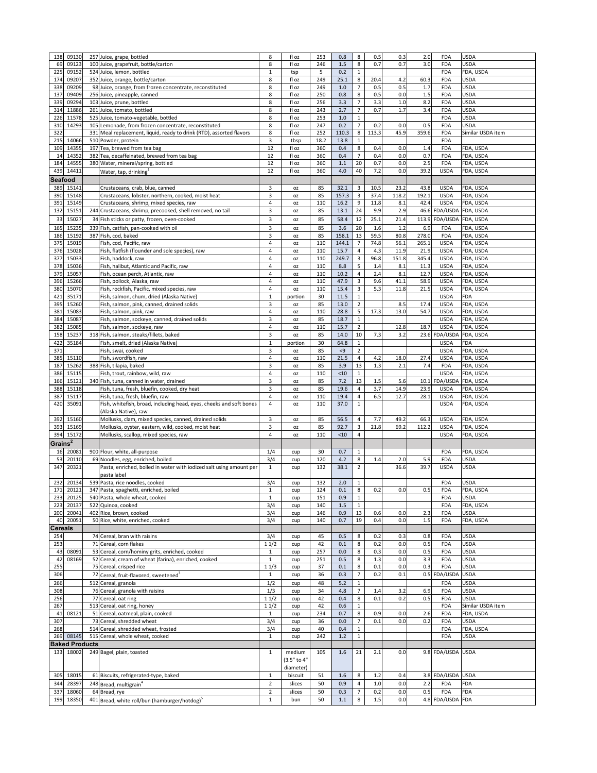| 138                 | 09130                 | 257 Juice, grape, bottled                                                  | 8                              | fl oz         | 253      | 0.8            | 8                     | 0.5        | 0.3        | 2.0   | <b>FDA</b>                     | <b>USDA</b>       |
|---------------------|-----------------------|----------------------------------------------------------------------------|--------------------------------|---------------|----------|----------------|-----------------------|------------|------------|-------|--------------------------------|-------------------|
| 69                  | 09123                 | 100 Juice, grapefruit, bottle/carton                                       | 8                              | fl oz         | 246      | 1.5            | 8                     | 0.7        | 0.7        | 3.0   | <b>FDA</b>                     | <b>USDA</b>       |
| 225                 | 09152                 | 524 Juice, lemon, bottled                                                  | $\mathbf{1}$                   | tsp           | 5        | 0.2            |                       |            |            |       | <b>FDA</b>                     | FDA, USDA         |
| 174                 | 09207                 | 352 Juice, orange, bottle/carton                                           | 8                              | fl oz         | 249      | 25.1           | 8                     | 20.4       | 4.2        | 60.3  | <b>FDA</b>                     | <b>USDA</b>       |
| 338                 | 09209                 | 98 Juice, orange, from frozen concentrate, reconstituted                   | 8                              | fl oz         | 249      | 1.0            |                       | 0.5        | 0.5        | 1.7   | <b>FDA</b>                     | <b>USDA</b>       |
| 137                 | 09409                 | 256 Juice, pineapple, canned                                               | 8                              | fl oz         | 250      | 0.8            | 8                     | 0.5        | 0.0        | 1.5   | <b>FDA</b>                     | <b>USDA</b>       |
| 339                 | 09294                 | 103 Juice, prune, bottled                                                  | 8                              | fl oz         | 256      | 3.3            |                       | 3.3        | 1.0        | 8.2   | <b>FDA</b>                     | <b>USDA</b>       |
| 314                 | 11886                 | 261 Juice, tomato, bottled                                                 | 8                              | fl oz         | 243      | 2.7            | $\overline{7}$        | 0.7        | 1.7        | 3.4   | <b>FDA</b>                     | <b>USDA</b>       |
| 226                 | 11578                 | 525 Juice, tomato-vegetable, bottled                                       | 8                              | fl oz         | 253      | $1.0$          | $\mathbf 1$           |            |            |       | <b>FDA</b>                     | <b>USDA</b>       |
| 310                 | 14293                 | 105 Lemonade, from frozen concentrate, reconstituted                       | 8                              | fl oz         | 247      | 0.2            |                       | 0.2        | 0.0        | 0.5   | <b>FDA</b>                     | <b>USDA</b>       |
| 322                 |                       | 331 Meal replacement, liquid, ready to drink (RTD), assorted flavors       | 8                              | fl oz         | 252      | 110.3          | 8                     | 113.3      | 45.9       | 359.6 | <b>FDA</b>                     | Similar USDA item |
|                     | 14066                 |                                                                            |                                |               | 18.2     |                |                       |            |            |       | <b>FDA</b>                     |                   |
| 215                 |                       | 510 Powder, protein                                                        | 3                              | tbsp          |          | 13.8           | 1                     |            |            |       |                                |                   |
| 109                 | 14355                 | 197 Tea, brewed from tea bag                                               | 12                             | fl oz         | 360      | 0.4            | 8<br>$\overline{7}$   | 0.4        | 0.0        | 1.4   | <b>FDA</b>                     | FDA, USDA         |
| 14                  | 14352                 | 382 Tea, decaffeinated, brewed from tea bag                                | 12                             | fl oz         | 360      | 0.4            |                       | 0.4        | 0.0        | 0.7   | <b>FDA</b>                     | FDA, USDA         |
| 184                 | 14555                 | 380 Water, mineral/spring, bottled                                         | 12                             | fl oz         | 360      | 1.1            | 20                    | 0.7        | 0.0        | 2.5   | <b>FDA</b>                     | FDA, USDA         |
| 439                 | 14411                 | Water, tap, drinking                                                       | 12                             | fl oz         | 360      | 4.0            | 40                    | 7.2        | 0.0        | 39.2  | <b>USDA</b>                    | FDA, USDA         |
| <b>Seafood</b>      |                       |                                                                            |                                |               |          |                |                       |            |            |       |                                |                   |
| 389                 | 15141                 | Crustaceans, crab, blue, canned                                            | 3                              | OZ            | 85       | 32.1           | $\overline{3}$        | 10.5       | 23.2       | 43.8  | <b>USDA</b>                    | FDA, USDA         |
| 390                 | 15148                 | Crustaceans, lobster, northern, cooked, moist heat                         | $\overline{3}$                 | <b>OZ</b>     | 85       | 157.3          | $\overline{3}$        | 37.4       | 118.2      | 192.1 | <b>USDA</b>                    | FDA, USDA         |
| 391                 | 15149                 | Crustaceans, shrimp, mixed species, raw                                    | $\overline{4}$                 | <b>OZ</b>     | 110      | 16.2           | 9                     | 11.8       | 8.1        | 42.4  | <b>USDA</b>                    | FDA, USDA         |
| 132                 | 15151                 | 244 Crustaceans, shrimp, precooked, shell removed, no tail                 | 3                              | <b>OZ</b>     | 85       | 13.1           | 24                    | 9.9        | 2.9        |       | 46.6 FDA/USDA FDA, USDA        |                   |
| 33                  | 15027                 | 34 Fish sticks or patty, frozen, oven-cooked                               | 3                              | <b>OZ</b>     | 85       | 58.4           | 12                    | 25.1       | 21.4       |       | 113.9 FDA/USDA FDA, USDA       |                   |
| 165                 | 15235                 | 339 Fish, catfish, pan-cooked with oil                                     | 3                              | <b>OZ</b>     | 85       | 3.6            | 20                    | 1.6        | 1.2        | 6.9   | <b>FDA</b>                     | FDA, USDA         |
| 186                 | 15192                 | 387 Fish, cod, baked                                                       | $\mathsf{3}$                   | OZ            | 85       | 158.1          | 13                    | 59.5       | 80.8       | 278.0 | <b>FDA</b>                     | FDA, USDA         |
| 375                 | 15019                 | Fish, cod, Pacific, raw                                                    | $\overline{\mathbf{4}}$        | <b>OZ</b>     | 110      | 144.1          |                       | 74.8       | 56.1       | 265.1 | <b>USDA</b>                    | FDA, USDA         |
| 376                 | 15028                 | Fish, flatfish (flounder and sole species), raw                            | $\overline{4}$                 | <b>OZ</b>     | 110      | 15.7           | 4                     | 4.3        | 11.9       | 21.9  | <b>USDA</b>                    | FDA, USDA         |
| 377                 | 15033                 | Fish, haddock, raw                                                         | $\overline{4}$                 | <b>OZ</b>     | 110      | 249.7          | 3                     | 96.8       | 151.8      | 345.4 | <b>USDA</b>                    | FDA, USDA         |
| 378                 | 15036                 | Fish, halibut, Atlantic and Pacific, raw                                   | 4                              | <b>OZ</b>     | 110      | 8.8            | 5                     | 1.4        | 8.1        | 11.3  | <b>USDA</b>                    | FDA, USDA         |
| 379                 | 15057                 | Fish, ocean perch, Atlantic, raw                                           | $\overline{4}$                 | <b>OZ</b>     | 110      | 10.2           | 4                     | 2.4        | 8.1        | 12.7  | <b>USDA</b>                    | FDA, USDA         |
| 396                 | 15266                 | Fish, pollock, Alaska, raw                                                 | $\overline{4}$                 | <b>OZ</b>     | 110      | 47.9           | $\mathbf{3}$          | 9.6        | 41.1       | 58.9  | <b>USDA</b>                    | FDA, USDA         |
| 380                 | 15070                 | Fish, rockfish, Pacific, mixed species, raw                                | 4                              |               | 110      | 15.4           | $\overline{3}$        | 5.3        | 11.8       | 21.5  | <b>USDA</b>                    | FDA, USDA         |
| 421                 | 35171                 | Fish, salmon, chum, dried (Alaska Native)                                  | $\mathbf{1}$                   | ΟZ            | 30       | 11.5           |                       |            |            |       | <b>USDA</b>                    | <b>FDA</b>        |
|                     |                       |                                                                            | 3                              | portion       | 85       | 13.0           | $\overline{2}$        |            | 8.5        | 17.4  | <b>USDA</b>                    | FDA, USDA         |
| 395                 | 15260                 | Fish, salmon, pink, canned, drained solids                                 |                                | <b>OZ</b>     |          |                |                       |            |            |       |                                |                   |
| 381                 | 15083                 | Fish, salmon, pink, raw<br>Fish, salmon, sockeye, canned, drained solids   | $\overline{4}$                 | <b>OZ</b>     | 110      | 28.8<br>18.7   | 5                     | 17.3       | 13.0       | 54.7  | <b>USDA</b>                    | FDA, USDA         |
| 384                 | 15087                 |                                                                            | $\mathsf{3}$                   | <b>OZ</b>     | 85       |                | $\mathbf{1}$          |            |            |       | <b>USDA</b>                    | FDA, USDA         |
| 382                 | 15085                 | Fish, salmon, sockeye, raw                                                 | $\overline{4}$                 | OZ            | 110      | 15.7           | $\overline{2}$        |            | 12.8       | 18.7  | <b>USDA</b>                    | FDA, USDA         |
| 158                 | 15237                 | 318 Fish, salmon, steaks/fillets, baked                                    | 3                              | <b>OZ</b>     | 85       | 14.0           | 10                    | 7.3        | 3.2        |       | 23.6 FDA/USDA                  | FDA, USDA         |
| 422                 | 35184                 | Fish, smelt, dried (Alaska Native)                                         | $\mathbf{1}$                   | portion       | 30       | 64.8           | $\mathbf{1}$          |            |            |       | <b>USDA</b>                    | <b>FDA</b>        |
| 371                 |                       | Fish, swai, cooked                                                         | $\mathbf{3}$                   | <b>OZ</b>     | 85       | $\langle 9$    | $\overline{2}$        |            |            |       | <b>USDA</b>                    | FDA, USDA         |
| 385                 | 15110                 | Fish, swordfish, raw                                                       | $\overline{a}$                 | <b>OZ</b>     | 110      | 21.5           | $\overline{4}$        | 4.2        | 18.0       | 27.4  | <b>USDA</b>                    | FDA, USDA         |
| 187                 | 15262                 | 388 Fish, tilapia, baked                                                   | 3                              | <b>OZ</b>     | 85       | 3.9            | 13                    | 1.3        | 2.1        | 7.4   | <b>FDA</b>                     | FDA, USDA         |
| 386                 | 15115                 | Fish, trout, rainbow, wild, raw                                            | $\overline{4}$                 | <b>OZ</b>     | 110      | < 10           | $\mathbf{1}$          |            |            |       | <b>USDA</b>                    | FDA, USDA         |
| 166                 | 15121                 | 340 Fish, tuna, canned in water, drained                                   | 3                              | OZ            | 85       | 7.2            | 13                    | 1.5        | 5.6        |       | 10.1 FDA/USDA                  | FDA, USDA         |
| 388                 | 15118                 | Fish, tuna, fresh, bluefin, cooked, dry heat                               | $\mathsf{3}$                   | <b>OZ</b>     | 85       | 19.6           | 4                     | 3.7        | 14.9       | 23.9  | <b>USDA</b>                    | FDA, USDA         |
| 387                 | 15117                 | Fish, tuna, fresh, bluefin, raw                                            | $\overline{\mathbf{4}}$        | OZ            | 110      | 19.4           | 4                     | 6.5        | 12.7       | 28.1  | <b>USDA</b>                    | FDA, USDA         |
| 420                 | 35091                 | Fish, whitefish, broad, including head, eyes, cheeks and soft bones        | 4                              | <b>OZ</b>     | 110      | 37.0           | $\mathbf{1}$          |            |            |       | <b>USDA</b>                    | FDA, USDA         |
|                     |                       | (Alaska Native), raw                                                       |                                |               |          |                |                       |            |            |       |                                |                   |
| 392                 | 15160                 | Mollusks, clam, mixed species, canned, drained solids                      | $\mathbf{3}$                   | OZ            | 85       | 56.5           | 4                     | 7.7        | 49.2       | 66.3  | <b>USDA</b>                    | FDA, USDA         |
| 393                 | 15169                 | Mollusks, oyster, eastern, wild, cooked, moist heat                        | $\overline{3}$                 | OZ            | 85       | 92.7           | 3                     | 21.8       | 69.2       | 112.2 | <b>USDA</b>                    | FDA, USDA         |
| 394                 | 15172                 | Mollusks, scallop, mixed species, raw                                      | $\overline{4}$                 | OZ            | 110      | $<10$          | $\boldsymbol{\Delta}$ |            |            |       | <b>USDA</b>                    | FDA, USDA         |
| Grains <sup>2</sup> |                       |                                                                            |                                |               |          |                |                       |            |            |       |                                |                   |
| 16                  | 20081                 | 900 Flour, white, all-purpose                                              | 1/4                            | cup           | 30       | 0.7            | $\mathbf{1}$          |            |            |       | <b>FDA</b>                     | FDA, USDA         |
| 53                  | 20110                 | 69 Noodles, egg, enriched, boiled                                          | 3/4                            |               | 120      | 4.2            | 8                     | 1.4        | 2.0        | 5.9   | <b>FDA</b>                     | <b>USDA</b>       |
| 347                 | 20321                 | Pasta, enriched, boiled in water with iodized salt using amount per        | $\mathbf{1}$                   | cup<br>cup    | 132      | 38.1           | $\overline{2}$        |            | 36.6       | 39.7  | <b>USDA</b>                    | <b>USDA</b>       |
|                     |                       | pasta label                                                                |                                |               |          |                |                       |            |            |       |                                |                   |
| 232                 | 20134                 | 539 Pasta, rice noodles, cooked                                            | 3/4                            |               | 132      | 2.0            |                       |            |            |       | <b>FDA</b>                     | <b>USDA</b>       |
| 171                 | 20121                 | 347 Pasta, spaghetti, enriched, boiled                                     | $\mathbf{1}$                   | cup           | 124      | 0.1            | 8                     | 0.2        | 0.0        | 0.5   | <b>FDA</b>                     | FDA, USDA         |
| 233                 | 20125                 | 540 Pasta, whole wheat, cooked                                             | $\mathbf{1}$                   | cup           | 151      | 0.9            | 1                     |            |            |       | <b>FDA</b>                     | <b>USDA</b>       |
| 223                 | 20137                 | 522 Quinoa, cooked                                                         | 3/4                            | cup           | 140      | 1.5            | $\mathbf{1}$          |            |            |       | <b>FDA</b>                     | FDA, USDA         |
| 200                 | 20041                 | 402 Rice, brown, cooked                                                    | 3/4                            | cup           | 146      | 0.9            | 13                    | 0.6        | 0.0        | 2.3   | <b>FDA</b>                     | <b>USDA</b>       |
| 40                  | 20051                 | 50 Rice, white, enriched, cooked                                           | 3/4                            | cup<br>cup    | 140      | 0.7            | 19                    | 0.4        | 0.0        | 1.5   | <b>FDA</b>                     | FDA, USDA         |
| <b>Cereals</b>      |                       |                                                                            |                                |               |          |                |                       |            |            |       |                                |                   |
|                     |                       |                                                                            |                                |               |          |                |                       |            |            |       |                                |                   |
| 254                 |                       | 74 Cereal, bran with raisins                                               | 3/4                            | cup           | 45       | 0.5            | 8                     | 0.2        | 0.3        | 0.8   | <b>FDA</b>                     | <b>USDA</b>       |
| 253                 |                       | 71 Cereal, corn flakes                                                     | 11/2                           | cup           | 42       | 0.1            | 8                     | 0.2        | 0.0        | 0.5   | <b>FDA</b>                     | <b>USDA</b>       |
| 43                  | 08091                 | 53 Cereal, corn/hominy grits, enriched, cooked                             | $\mathbf{1}$                   | cup           | 257      | 0.0            | 8                     | 0.3        | 0.0        | 0.5   | <b>FDA</b>                     | <b>USDA</b>       |
| 42                  | 08169                 | 52 Cereal, cream of wheat (farina), enriched, cooked                       | $\mathbf{1}$                   | cup           | 251      | 0.5            | 8                     | 1.3        | 0.0        | 3.3   | <b>FDA</b>                     | <b>USDA</b>       |
| 255                 |                       | 75 Cereal, crisped rice                                                    | 11/3                           | cup           | 37       | 0.1            | 8                     | 0.1        | 0.0        | 0.3   | <b>FDA</b>                     | <b>USDA</b>       |
| 306                 |                       | 72 Cereal, fruit-flavored, sweetened <sup>3</sup>                          | $\mathbf{1}$                   | cup           | 36       | 0.3            |                       | 0.2        | 0.1        |       | 0.5 FDA/USDA USDA              |                   |
| 266                 |                       | 512 Cereal, granola                                                        | 1/2                            | cup           | 48       | $5.2$          | $\mathbf{1}$          |            |            |       | <b>FDA</b>                     | <b>USDA</b>       |
| 308                 |                       | 76 Cereal, granola with raisins                                            | 1/3                            | cup           | 34       | 4.8            | $\overline{7}$        | 1.4        | 3.2        | 6.9   | <b>FDA</b>                     | <b>USDA</b>       |
| 256                 |                       | 77 Cereal, oat ring                                                        | 11/2                           | cup           | 42       | 0.4            | 8                     | 0.1        | 0.2        | 0.5   | <b>FDA</b>                     | <b>USDA</b>       |
| 267                 |                       | 513 Cereal, oat ring, honey                                                | 11/2                           | cup           | 42       | 0.6            |                       |            |            |       | <b>FDA</b>                     | Similar USDA item |
| 41                  | 08121                 | 51 Cereal, oatmeal, plain, cooked                                          | $\mathbf{1}$                   | cup           | 234      | 0.7            | 8                     | 0.9        | 0.0        | 2.6   | <b>FDA</b>                     | FDA, USDA         |
| 307                 |                       | 73 Cereal, shredded wheat                                                  | 3/4                            | cup           | 36       | 0.0            | 7                     | 0.1        | 0.0        | 0.2   | <b>FDA</b>                     | <b>USDA</b>       |
| 268                 |                       | 514 Cereal, shredded wheat, frosted                                        | 3/4                            | cup           | 40       | 0.4            | $\mathbf{1}$          |            |            |       | <b>FDA</b>                     | FDA, USDA         |
| 269                 | 08145                 | 515 Cereal, whole wheat, cooked                                            | $\mathbf{1}$                   | cup           | 242      | 1.2            | $\mathbf 1$           |            |            |       | <b>FDA</b>                     | <b>USDA</b>       |
|                     | <b>Baked Products</b> |                                                                            |                                |               |          |                |                       |            |            |       |                                |                   |
|                     | 133 18002             | 249 Bagel, plain, toasted                                                  | $\mathbf{1}$                   | medium        | 105      | 1.6            | 21                    | 2.1        | 0.0        |       | 9.8 FDA/USDA USDA              |                   |
|                     |                       |                                                                            |                                | (3.5" to 4"   |          |                |                       |            |            |       |                                |                   |
|                     |                       |                                                                            |                                | diameter)     |          |                |                       |            |            |       |                                |                   |
| 305                 | 18015                 | 61 Biscuits, refrigerated-type, baked                                      | $\mathbf{1}$                   | biscuit       | 51       | 1.6            | 8                     | 1.2        | 0.4        |       | 3.8 FDA/USDA USDA              |                   |
| 344                 | 28397                 | 248 Bread, multigrain <sup>4</sup>                                         | $\overline{2}$                 | slices        | 50       | 0.9            | $\overline{a}$        | 1.0        | 0.0        | 2.2   | <b>FDA</b>                     | <b>FDA</b>        |
|                     |                       |                                                                            |                                |               |          |                |                       |            |            |       |                                |                   |
|                     |                       |                                                                            |                                |               |          |                |                       |            |            |       |                                |                   |
| 337<br>199          | 18060<br>18350        | 64 Bread, rye<br>401 Bread, white roll/bun (hamburger/hotdog) <sup>5</sup> | $\overline{2}$<br>$\mathbf{1}$ | slices<br>bun | 50<br>50 | 0.3<br>$1.1\,$ | 8                     | 0.2<br>1.5 | 0.0<br>0.0 | 0.5   | <b>FDA</b><br>4.8 FDA/USDA FDA | <b>FDA</b>        |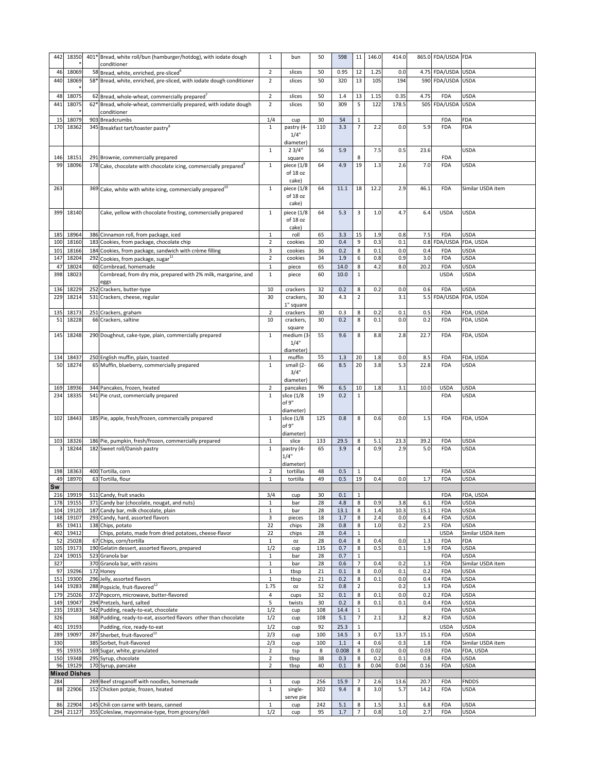| 442       | 18350               | 401* Bread, white roll/bun (hamburger/hotdog), with iodate dough                           | 1                   | bun                    | 50        | 598            | 11                      | 146.0      | 414.0      |            | 865.0 FDA/USDA FDA        |                                  |
|-----------|---------------------|--------------------------------------------------------------------------------------------|---------------------|------------------------|-----------|----------------|-------------------------|------------|------------|------------|---------------------------|----------------------------------|
|           |                     | conditioner                                                                                |                     |                        |           |                |                         |            |            |            |                           |                                  |
| 46        | 18069               | 58 Bread, white, enriched, pre-sliced <sup>6</sup>                                         | $\overline{2}$      | slices                 | 50        | 0.95           | 12                      | 1.25       | 0.0        |            | 4.75 FDA/USDA USDA        |                                  |
| 440       | 18069               | 58* Bread, white, enriched, pre-sliced, with iodate dough conditioner                      | $\overline{2}$      | slices                 | 50        | 320            | 13                      | 105        | 194        |            | 590 FDA/USDA USDA         |                                  |
|           |                     |                                                                                            |                     |                        |           |                |                         |            |            |            |                           |                                  |
| 48        | 18075               | $62$ Bread, whole-wheat, commercially prepared <sup>'</sup>                                | $\overline{2}$      | slices                 | 50        | 1.4            | 13                      | 1.15       | 0.35       | 4.75       | <b>FDA</b>                | <b>USDA</b>                      |
| 441       | 18075               | 62* Bread, whole-wheat, commercially prepared, with iodate dough                           | $\overline{2}$      | slices                 | 50        | 309            | 5                       | 122        | 178.5      |            | 505 FDA/USDA USDA         |                                  |
|           |                     | conditioner                                                                                |                     |                        |           |                |                         |            |            |            |                           |                                  |
| 15        | 18079               | 903 Breadcrumbs                                                                            | 1/4                 | cup                    | 30        | 54             | 1                       |            |            |            | <b>FDA</b>                | <b>FDA</b>                       |
| 170       | 18362               | 345 Breakfast tart/toaster pastry <sup>8</sup>                                             | $\mathbf{1}$        | pastry (4-             | 110       | 3.3            |                         | 2.2        | 0.0        | 5.9        | <b>FDA</b>                | <b>FDA</b>                       |
|           |                     |                                                                                            |                     | 1/4"                   |           |                |                         |            |            |            |                           |                                  |
|           |                     |                                                                                            |                     | diameter)              |           |                |                         |            |            |            |                           |                                  |
|           |                     |                                                                                            | 1                   | 23/4"                  | 56        | 5.9            |                         | 7.5        | 0.5        | 23.6       |                           | <b>USDA</b>                      |
| 146       | 18151               | 291 Brownie, commercially prepared                                                         |                     | square                 |           |                | 8                       |            |            |            | <b>FDA</b>                |                                  |
| -99       | 18096               | $178$ Cake, chocolate with chocolate icing, commercially prepared <sup>9</sup>             | $\mathbf{1}$        | piece (1/8             | 64        | 4.9            | 19                      | 1.3        | 2.6        | 7.0        | <b>FDA</b>                | <b>USDA</b>                      |
|           |                     |                                                                                            |                     | of 18 oz               |           |                |                         |            |            |            |                           |                                  |
| 263       |                     |                                                                                            |                     | cake)                  | 64        | 11.1           | 18                      | 12.2       | 2.9        | 46.1       | <b>FDA</b>                | Similar USDA item                |
|           |                     | 369 Cake, white with white icing, commercially prepared <sup>10</sup>                      | $\mathbf{1}$        | piece (1/8<br>of 18 oz |           |                |                         |            |            |            |                           |                                  |
|           |                     |                                                                                            |                     | cake)                  |           |                |                         |            |            |            |                           |                                  |
| 399       | 18140               |                                                                                            |                     | piece (1/8             | 64        | 5.3            | 3                       | 1.0        | 4.7        | 6.4        | <b>USDA</b>               | <b>USDA</b>                      |
|           |                     | Cake, yellow with chocolate frosting, commercially prepared                                | $\mathbf{1}$        | of 18 oz               |           |                |                         |            |            |            |                           |                                  |
|           |                     |                                                                                            |                     | cake)                  |           |                |                         |            |            |            |                           |                                  |
| 185       | 18964               | 386 Cinnamon roll, from package, iced                                                      | $\mathbf{1}$        | roll                   | 65        | 3.3            | 15                      | 1.9        | 0.8        | 7.5        | <b>FDA</b>                | <b>USDA</b>                      |
| 100       | 18160               | 183 Cookies, from package, chocolate chip                                                  | $\overline{2}$      | cookies                | 30        | 0.4            | 9                       | 0.3        | 0.1        |            | 0.8 FDA/USDA              | FDA, USDA                        |
| 101       | 18166               | 184 Cookies, from package, sandwich with crème filling                                     | 3                   | cookies                | 36        | 0.2            | 8                       | 0.1        | 0.0        | 0.4        | <b>FDA</b>                | <b>USDA</b>                      |
| 147       | 18204               | 292 Cookies, from package, sugar <sup>11</sup>                                             | $2^{\circ}$         | cookies                | 34        | 1.9            | 6                       | 0.8        | 0.9        | 3.0        | <b>FDA</b>                | <b>USDA</b>                      |
| 47        | 18024               | 60 Cornbread, homemade                                                                     | $\mathbf{1}$        | piece                  | 65        | 14.0           | 8                       | 4.2        | 8.0        | 20.2       | <b>FDA</b>                | <b>USDA</b>                      |
| 398       | 18023               | Cornbread, from dry mix, prepared with 2% milk, margarine, and                             | $\mathbf{1}$        | piece                  | 60        | 10.0           | $\mathbf{1}$            |            |            |            | <b>USDA</b>               | <b>USDA</b>                      |
|           |                     | eggs                                                                                       |                     |                        |           |                |                         |            |            |            |                           |                                  |
|           | 136 18229           | 252 Crackers, butter-type                                                                  | 10                  | crackers               | 32        | 0.2            | 8                       | 0.2        | 0.0        | 0.6        | <b>FDA</b>                | <b>USDA</b>                      |
| 229       | 18214               | 531 Crackers, cheese, regular                                                              | 30                  | crackers,              | 30        | 4.3            | 2                       |            | 3.1        |            | 5.5 FDA/USDA FDA, USDA    |                                  |
|           |                     |                                                                                            |                     | 1" square              |           |                |                         |            |            |            |                           |                                  |
| 135       | 18173               | 251 Crackers, graham                                                                       | $2^{\circ}$         | crackers               | 30        | 0.3            | 8                       | 0.2        | 0.1        | 0.5        | <b>FDA</b>                | FDA, USDA                        |
| 51        | 18228               | 66 Crackers, saltine                                                                       | 10                  | crackers,              | 30        | 0.2            | 8                       | 0.1        | 0.0        | 0.2        | <b>FDA</b>                | FDA, USDA                        |
|           |                     |                                                                                            |                     | square                 |           |                |                         |            |            |            |                           |                                  |
| 145       | 18248               | 290 Doughnut, cake-type, plain, commercially prepared                                      | $\mathbf{1}$        | medium (3              | 55        | 9.6            | 8                       | 8.8        | 2.8        | 22.7       | <b>FDA</b>                | FDA, USDA                        |
|           |                     |                                                                                            |                     | 1/4"                   |           |                |                         |            |            |            |                           |                                  |
|           |                     |                                                                                            |                     | diameter)              |           |                |                         |            |            |            |                           |                                  |
| 134       | 18437               | 250 English muffin, plain, toasted                                                         | 1                   | muffin                 | 55        | 1.3            | 20                      | 1.8        | 0.0        | 8.5        | <b>FDA</b>                | FDA, USDA                        |
| 50        | 18274               | 65 Muffin, blueberry, commercially prepared                                                | 1                   | small (2-              | 66        | 8.5            | 20                      | 3.8        | 5.3        | 22.8       | <b>FDA</b>                | <b>USDA</b>                      |
|           |                     |                                                                                            |                     | 3/4"                   |           |                |                         |            |            |            |                           |                                  |
|           |                     |                                                                                            |                     | diameter)              |           |                | 10                      | 1.8        | 3.1        | 10.0       | <b>USDA</b>               | <b>USDA</b>                      |
|           |                     |                                                                                            |                     |                        |           |                |                         |            |            |            |                           |                                  |
| 169       | 18936               | 344 Pancakes, frozen, heated                                                               | $\overline{2}$      | pancakes               | 96        | 6.5            |                         |            |            |            |                           |                                  |
| 234       | 18335               | 541 Pie crust, commercially prepared                                                       | 1                   | slice (1/8             | 19        | 0.2            |                         |            |            |            | <b>FDA</b>                | <b>USDA</b>                      |
|           |                     |                                                                                            |                     | of 9"                  |           |                |                         |            |            |            |                           |                                  |
|           |                     |                                                                                            | 1                   | diameter)              |           |                | 8                       |            |            |            |                           |                                  |
| 102       | 18443               | 185 Pie, apple, fresh/frozen, commercially prepared                                        |                     | slice (1/8<br>of 9"    | 125       | 0.8            |                         | 0.6        | 0.0        | 1.5        | <b>FDA</b>                | FDA, USDA                        |
|           |                     |                                                                                            |                     | diameter)              |           |                |                         |            |            |            |                           |                                  |
| 103       | 18326               | 186 Pie, pumpkin, fresh/frozen, commercially prepared                                      | $\mathbf{1}$        | slice                  | 133       | 29.5           | 8                       | 5.1        | 23.3       | 39.2       | <b>FDA</b>                | <b>USDA</b>                      |
|           | 18244               | 182 Sweet roll/Danish pastry                                                               | 1                   | pastry (4-             | 65        | 3.9            | 4                       | 0.9        | 2.9        | 5.0        | <b>FDA</b>                | <b>USDA</b>                      |
|           |                     |                                                                                            |                     | 1/4"                   |           |                |                         |            |            |            |                           |                                  |
|           |                     |                                                                                            |                     | diameter)              |           |                |                         |            |            |            |                           |                                  |
| 198       | 18363               | 400 Tortilla, corn                                                                         | $\overline{2}$      | tortillas              | 48        | 0.5            | $\mathbf{1}$            |            |            |            | <b>FDA</b>                | <b>USDA</b>                      |
| 49        | 18970               | 63 Tortilla, flour                                                                         | $\mathbf{1}$        | tortilla               | 49        | 0.5            | 19                      | 0.4        | 0.0        | 1.7        | <b>FDA</b>                | <b>USDA</b>                      |
| <b>Sw</b> |                     |                                                                                            |                     |                        |           |                |                         |            |            |            |                           |                                  |
| 216       | 19919               | 511 Candy, fruit snacks                                                                    | 3/4                 | cup                    | 30        | 0.1            | $\mathbf{1}$            |            |            |            | <b>FDA</b>                | FDA, USDA                        |
| 178       | 19155               | 371 Candy bar (chocolate, nougat, and nuts)                                                | $\mathbf{1}$        | bar                    | 28        | 4.8            | 8                       | 0.9        | 3.8        | 6.1        | <b>FDA</b>                | <b>USDA</b>                      |
| 104       | 19120               | 187 Candy bar, milk chocolate, plain                                                       | 1                   | bar                    | 28        | 13.1           | 8                       | 1.4        | 10.3       | 15.1       | <b>FDA</b>                | <b>USDA</b>                      |
| 148       | 19107               | 293 Candy, hard, assorted flavors                                                          | 3                   | pieces                 | 18        | 1.7            | 8                       | 2.4        | 0.0        | 6.4        | <b>FDA</b>                | <b>USDA</b>                      |
| 85<br>402 | 19411<br>19412      | 138 Chips, potato                                                                          | $22\,$<br>22        | chips<br>chips         | 28<br>28  | 0.8<br>0.4     | $\bf 8$<br>$\mathbf{1}$ | $1.0\,$    | 0.2        | 2.5        | <b>FDA</b><br><b>USDA</b> | <b>USDA</b><br>Similar USDA item |
| 52        | 25028               | Chips, potato, made from dried potatoes, cheese-flavor<br>67 Chips, corn/tortilla          | 1                   | OZ.                    | 28        | 0.4            | 8                       | 0.4        | 0.0        | 1.3        | <b>FDA</b>                | FDA                              |
| 105       | 19173               | 190 Gelatin dessert, assorted flavors, prepared                                            | 1/2                 | cup                    | 135       | 0.7            | 8                       | 0.5        | 0.1        | 1.9        | <b>FDA</b>                | <b>USDA</b>                      |
| 224       | 19015               | 523 Granola bar                                                                            | $\mathbf{1}$        | bar                    | 28        | 0.7            | $\mathbf{1}$            |            |            |            | <b>FDA</b>                | <b>USDA</b>                      |
| 327       |                     | 370 Granola bar, with raisins                                                              | $\mathbf{1}$        | bar                    | 28        | 0.6            | 7                       | 0.4        | 0.2        | 1.3        | <b>FDA</b>                | Similar USDA item                |
| 97        | 19296               | 172 Honey                                                                                  | $\mathbf{1}$        | tbsp                   | 21        | 0.1            | 8                       | 0.0        | 0.1        | 0.2        | <b>FDA</b>                | <b>USDA</b>                      |
| 151       | 19300               | 296 Jelly, assorted flavors                                                                | 1                   | tbsp                   | 21        | 0.2            | 8                       | 0.1        | 0.0        | 0.4        | <b>FDA</b>                | <b>USDA</b>                      |
| 144       | 19283               | 288 Popsicle, fruit-flavored <sup>12</sup>                                                 | 1.75                | 0Z                     | 52        | 0.8            | 2                       |            | 0.2        | 1.3        | <b>FDA</b>                | <b>USDA</b>                      |
| 179       | 25026               | 372 Popcorn, microwave, butter-flavored                                                    | 4                   | cups                   | 32        | 0.1            | 8                       | 0.1        | 0.0        | 0.2        | <b>FDA</b>                | <b>USDA</b>                      |
| 149       | 19047               | 294 Pretzels, hard, salted                                                                 | 5                   | twists                 | 30        | 0.2            | 8                       | 0.1        | 0.1        | 0.4        | <b>FDA</b>                | <b>USDA</b>                      |
| 235       | 19183               | 542 Pudding, ready-to-eat, chocolate                                                       | 1/2                 | cup                    | 108       | 14.4           |                         |            |            |            | <b>FDA</b>                | <b>USDA</b>                      |
| 326       |                     | 368 Pudding, ready-to-eat, assorted flavors other than chocolate                           | 1/2                 | cup                    | 108       | 5.1            |                         | 2.1        | 3.2        | 8.2        | <b>FDA</b>                | <b>USDA</b>                      |
| 401       | 19193               | Pudding, rice, ready-to-eat                                                                | 1/2                 | cup                    | 92        | 25.3           | $\mathbf{1}$            |            |            |            | <b>USDA</b>               | <b>USDA</b>                      |
| 289       | 19097               | 287 Sherbet, fruit-flavored <sup>13</sup>                                                  | 2/3                 | cup                    | 100       | 14.5           | 3                       | 0.7        | 13.7       | 15.1       | <b>FDA</b>                | <b>USDA</b>                      |
| 330       |                     | 385 Sorbet, fruit-flavored                                                                 | 2/3                 | cup                    | 100       | 1.1            | 4                       | 0.6        | 0.3        | 1.8        | <b>FDA</b>                | Similar USDA item                |
| 95        | 19335               | 169 Sugar, white, granulated                                                               | $\overline{2}$      | tsp                    | 8         | 0.008          | 8                       | 0.02       | 0.0        | 0.03       | <b>FDA</b>                | FDA, USDA                        |
| 150       | 19348               | 295 Syrup, chocolate                                                                       | $\overline{2}$      | tbsp                   | 38        | 0.3            | 8                       | 0.2        | 0.1        | 0.8        | <b>FDA</b>                | <b>USDA</b>                      |
| 96        | 19129               | 170 Syrup, pancake                                                                         | $2^{\circ}$         | tbsp                   | 40        | 0.1            | 8                       | 0.04       | 0.04       | 0.16       | <b>FDA</b>                | <b>USDA</b>                      |
|           | <b>Mixed Dishes</b> |                                                                                            |                     |                        |           |                |                         |            |            |            |                           |                                  |
| 284       |                     | 269 Beef stroganoff with noodles, homemade                                                 | $\mathbf{1}$        | cup                    | 256       | 15.9           | 7                       | 2.6        | 13.6       | 20.7       | <b>FDA</b>                | <b>FNDDS</b>                     |
| 88        | 22906               | 152 Chicken potpie, frozen, heated                                                         | $\mathbf{1}$        | single-                | 302       | 9.4            | 8                       | 3.0        | 5.7        | 14.2       | <b>FDA</b>                | <b>USDA</b>                      |
|           |                     |                                                                                            |                     | serve pie              |           |                |                         |            |            |            |                           |                                  |
| 86<br>294 | 22904<br>21127      | 145 Chili con carne with beans, canned<br>355 Coleslaw, mayonnaise-type, from grocery/deli | $\mathbf{1}$<br>1/2 | cup<br>cup             | 242<br>95 | 5.1<br>$1.7\,$ | 8<br>7                  | 1.5<br>0.8 | 3.1<br>1.0 | 6.8<br>2.7 | <b>FDA</b><br><b>FDA</b>  | <b>USDA</b><br><b>USDA</b>       |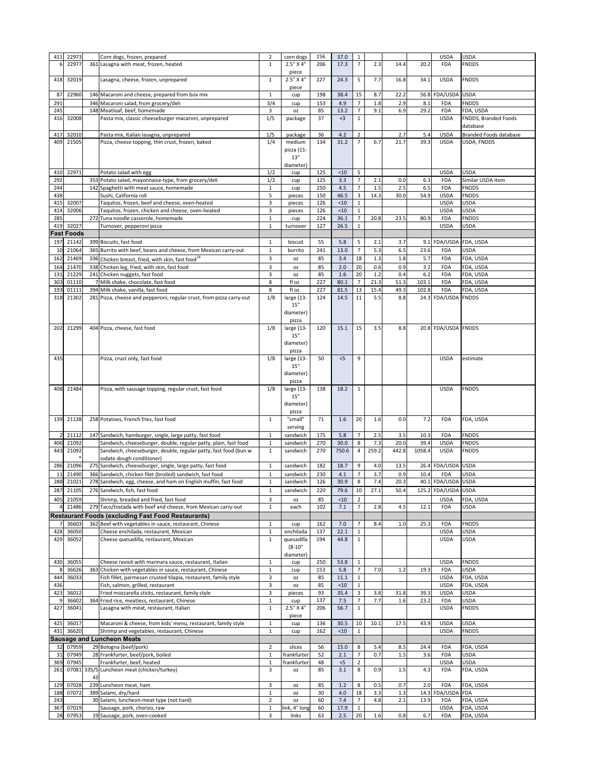| 411             | 22973             |    | Corn dogs, frozen, prepared                                          | $\overline{2}$    | corn dogs              | 156      | 37.0          | 1                                          |       |       |        | <b>USDA</b>               | <b>USDA</b>            |
|-----------------|-------------------|----|----------------------------------------------------------------------|-------------------|------------------------|----------|---------------|--------------------------------------------|-------|-------|--------|---------------------------|------------------------|
|                 |                   |    |                                                                      |                   |                        |          |               |                                            |       |       |        |                           |                        |
| 6               | 22977             |    | 361 Lasagna with meat, frozen, heated                                | $\mathbf{1}$      | 2.5" X 4"              | 206      | 17.3          | $\overline{7}$                             | 2.3   | 14.4  | 20.2   | <b>FDA</b>                | <b>FNDDS</b>           |
|                 |                   |    |                                                                      |                   | piece                  |          |               |                                            |       |       |        |                           |                        |
| 418             | 32019             |    | Lasagna, cheese, frozen, unprepared                                  | 1                 | $2.5"$ X 4"            | 227      | 24.3          | 5                                          | 7.7   | 16.8  | 34.1   | <b>USDA</b>               | <b>FNDDS</b>           |
|                 |                   |    |                                                                      |                   |                        |          |               |                                            |       |       |        |                           |                        |
|                 |                   |    |                                                                      |                   | piece                  |          |               |                                            |       |       |        |                           |                        |
| 87              | 22960             |    | 146 Macaroni and cheese, prepared from box mix                       | $\mathbf{1}$      | cup                    | 198      | 38.4          | 15                                         | 8.7   | 22.2  |        | 56.8 FDA/USDA USDA        |                        |
| 291             |                   |    | 346 Macaroni salad, from grocery/deli                                | 3/4               | cup                    | 153      | 4.9           | 7                                          | 1.8   | 2.9   | 8.1    | <b>FDA</b>                | <b>FNDDS</b>           |
| 245             |                   |    | 148 Meatloaf, beef, homemade                                         | 3                 |                        | 85       | 13.2          | $\overline{7}$                             | 9.1   | 6.9   | 29.2   | <b>FDA</b>                | FDA, USDA              |
|                 |                   |    |                                                                      |                   | OZ.                    |          |               |                                            |       |       |        |                           |                        |
| 416             | 32008             |    | Pasta mix, classic cheeseburger macaroni, unprepared                 | 1/5               | package                | 37       | $<$ 3         | 1                                          |       |       |        | <b>USDA</b>               | FNDDS, Branded Foods   |
|                 |                   |    |                                                                      |                   |                        |          |               |                                            |       |       |        |                           | database               |
| 417             | 32010             |    |                                                                      |                   |                        | 36       | 4.2           | $\overline{2}$                             |       | 2.7   | 5.4    | <b>USDA</b>               | Branded Foods database |
|                 |                   |    | Pasta mix, Italian lasagna, unprepared                               | 1/5               | package                |          |               |                                            |       |       |        |                           |                        |
| 409             | 21505             |    | Pizza, cheese topping, thin crust, frozen, baked                     | 1/4               | medium                 | 134      | 31.2          | $\overline{7}$                             | 6.7   | 21.7  | 39.3   | <b>USDA</b>               | USDA, FNDDS            |
|                 |                   |    |                                                                      |                   | pizza (11-             |          |               |                                            |       |       |        |                           |                        |
|                 |                   |    |                                                                      |                   | 13"                    |          |               |                                            |       |       |        |                           |                        |
|                 |                   |    |                                                                      |                   |                        |          |               |                                            |       |       |        |                           |                        |
|                 |                   |    |                                                                      |                   | diameter)              |          |               |                                            |       |       |        |                           |                        |
| 41 <sub>C</sub> | 22971             |    | Potato salad with egg                                                | 1/2               | cup                    | 125      | < 10          | 5                                          |       |       |        | <b>USDA</b>               | <b>USDA</b>            |
| 292             |                   |    | 353 Potato salad, mayonnaise-type, from grocery/deli                 | 1/2               |                        | 125      | 3.3           | $\overline{7}$                             | 2.1   | 0.0   | 6.3    | <b>FDA</b>                | Similar USDA item      |
|                 |                   |    |                                                                      |                   | cup                    |          |               |                                            |       |       |        |                           |                        |
| 244             |                   |    | 142 Spaghetti with meat sauce, homemade                              | $\mathbf{1}$      | cup                    | 250      | 4.5           | 7                                          | 1.5   | 2.5   | 6.5    | <b>FDA</b>                | <b>FNDDS</b>           |
| 438             |                   |    | Sushi, California roll                                               | 5                 | pieces                 | 150      | 46.5          | 3                                          | 14.3  | 30.0  | 54.9   | <b>USDA</b>               | <b>FNDDS</b>           |
| 415             | 32007             |    | Taquitos, frozen, beef and cheese, oven-heated                       | 3                 | pieces                 | 126      | < 10          | 1                                          |       |       |        | <b>USDA</b>               | <b>USDA</b>            |
|                 |                   |    |                                                                      |                   |                        |          |               |                                            |       |       |        |                           |                        |
| 414             | 32006             |    | Taquitos, frozen, chicken and cheese, oven-heated                    | 3                 | pieces                 | 126      | < 10          | $\mathbf{1}$                               |       |       |        | <b>USDA</b>               | <b>USDA</b>            |
| 285             |                   |    | 272 Tuna noodle casserole, homemade                                  | $\mathbf{1}$      | cup                    | 224      | 36.1          | $\overline{ }$                             | 20.8  | 23.5  | 80.9   | <b>FDA</b>                | <b>FNDDS</b>           |
| 419             | 32027             |    | Turnover, pepperoni pizza                                            | $\mathbf{1}$      | turnover               | 127      | 26.5          | $\mathbf{1}$                               |       |       |        | <b>USDA</b>               | <b>USDA</b>            |
|                 |                   |    |                                                                      |                   |                        |          |               |                                            |       |       |        |                           |                        |
|                 | <b>Fast Foods</b> |    |                                                                      |                   |                        |          |               |                                            |       |       |        |                           |                        |
| 197             | 21142             |    | 399 Biscuits, fast food                                              | $\mathbf{1}$      | biscuit                | 55       | 5.8           | 5                                          | 2.1   | 3.7   |        | 9.1 FDA/USDA FDA, USDA    |                        |
|                 |                   |    |                                                                      |                   |                        |          |               |                                            |       |       |        |                           |                        |
| 10              | 21064             |    | 365 Burrito with beef, beans and cheese, from Mexican carry-out      | $\mathbf{1}$      | burrito                | 241      | 13.0          | $\overline{7}$                             | 5.3   | 6.5   | 23.6   | <b>FDA</b>                | <b>USDA</b>            |
| 162             | 21469             |    | 336 Chicken breast, fried, with skin, fast food <sup>14</sup>        | 3                 | <b>OZ</b>              | 85       | 3.4           | 18                                         | 1.3   | 1.8   | 5.7    | <b>FDA</b>                | FDA, USDA              |
|                 |                   |    |                                                                      |                   |                        |          |               |                                            |       |       |        |                           |                        |
| 164             | 21470             |    | 338 Chicken leg, fried, with skin, fast food                         | 3                 | 0Z                     | 85       | 2.0           | 20                                         | 0.6   | 0.9   | 3.2    | <b>FDA</b>                | FDA, USDA              |
| 131             | 21229             |    | 241 Chicken nuggets, fast food                                       | $\overline{3}$    | <b>OZ</b>              | 85       | 1.6           | 20                                         | 1.2   | 0.4   | 6.2    | <b>FDA</b>                | FDA, USDA              |
| 303             | 01110             |    | 7 Milk shake, chocolate, fast food                                   | 8                 | fl oz                  | 227      | 80.1          | 7                                          | 21.3  | 51.3  | 103.1  | <b>FDA</b>                | FDA, USDA              |
|                 |                   |    |                                                                      |                   |                        |          |               |                                            |       |       |        |                           |                        |
|                 | 193 01111         |    | 394 Milk shake, vanilla, fast food                                   | 8                 | fl oz                  | 227      | 81.5          | 13                                         | 15.4  | 49.3  | 102.8  | <b>FDA</b>                | FDA, USDA              |
| 318             | 21302             |    | 281 Pizza, cheese and pepperoni, regular crust, from pizza carry-out | 1/8               | large (13-             | 124      | 14.5          | 11                                         | 5.5   | 8.8   |        | 24.3 FDA/USDA FNDDS       |                        |
|                 |                   |    |                                                                      |                   | 15"                    |          |               |                                            |       |       |        |                           |                        |
|                 |                   |    |                                                                      |                   |                        |          |               |                                            |       |       |        |                           |                        |
|                 |                   |    |                                                                      |                   | diameter)              |          |               |                                            |       |       |        |                           |                        |
|                 |                   |    |                                                                      |                   | pizza                  |          |               |                                            |       |       |        |                           |                        |
| 202             | 21299             |    | 404 Pizza, cheese, fast food                                         | 1/8               | large (13-             | 120      | 15.1          | 15                                         | 3.5   | 8.8   |        | 20.8 FDA/USDA FNDDS       |                        |
|                 |                   |    |                                                                      |                   |                        |          |               |                                            |       |       |        |                           |                        |
|                 |                   |    |                                                                      |                   | 15"                    |          |               |                                            |       |       |        |                           |                        |
|                 |                   |    |                                                                      |                   | diameter)              |          |               |                                            |       |       |        |                           |                        |
|                 |                   |    |                                                                      |                   | pizza                  |          |               |                                            |       |       |        |                           |                        |
|                 |                   |    |                                                                      |                   |                        |          |               |                                            |       |       |        |                           |                        |
| 435             |                   |    | Pizza, crust only, fast food                                         | 1/8               | large (13-             | 50       | < 5           | 9                                          |       |       |        | <b>USDA</b>               | estimate               |
|                 |                   |    |                                                                      |                   | 15"                    |          |               |                                            |       |       |        |                           |                        |
|                 |                   |    |                                                                      |                   |                        |          |               |                                            |       |       |        |                           |                        |
|                 |                   |    |                                                                      |                   | diameter)              |          |               |                                            |       |       |        |                           |                        |
|                 |                   |    |                                                                      |                   | pizza                  |          |               |                                            |       |       |        |                           |                        |
| 408             | 21484             |    | Pizza, with sausage topping, regular crust, fast food                | 1/8               | large (13-             | 138      | 18.2          | 1                                          |       |       |        | <b>USDA</b>               | <b>FNDDS</b>           |
|                 |                   |    |                                                                      |                   | 15"                    |          |               |                                            |       |       |        |                           |                        |
|                 |                   |    |                                                                      |                   |                        |          |               |                                            |       |       |        |                           |                        |
|                 |                   |    |                                                                      |                   | diameter)              |          |               |                                            |       |       |        |                           |                        |
|                 |                   |    |                                                                      |                   | pizza                  |          |               |                                            |       |       |        |                           |                        |
|                 |                   |    |                                                                      |                   |                        |          |               |                                            |       |       |        |                           |                        |
| 139             | 21138             |    | 258 Potatoes, French fries, fast food                                | $\mathbf{1}$      | "small"                | 71       | 1.6           | 20                                         | 1.6   | 0.0   | 7.2    | <b>FDA</b>                | FDA, USDA              |
|                 |                   |    |                                                                      |                   | serving                |          |               |                                            |       |       |        |                           |                        |
|                 | 21112             |    | 147 Sandwich, hamburger, single, large patty, fast food              |                   | sandwich               | 175      | 5.8           | $\overline{7}$                             | 2.5   | 3.5   | 10.3   | <b>FDA</b>                | <b>FNDDS</b>           |
|                 |                   |    |                                                                      | $\mathbf{1}$      |                        |          |               |                                            |       |       |        |                           |                        |
| 406             | 21092             |    | Sandwich, cheeseburger, double, regular patty, plain, fast food      | $\mathbf{1}$      | sandwich               | 270      | 30.0          | 8                                          | 7.3   | 20.0  | 39.4   | <b>USDA</b>               | <b>FNDDS</b>           |
| 443             | 21092             |    | Sandwich, cheeseburger, double, regular patty, fast food (bun w      | $\mathbf{1}$      | sandwich               |          |               | 4                                          | 259.2 |       |        |                           |                        |
|                 |                   |    |                                                                      |                   |                        | 270      | 750.6         |                                            |       |       |        | <b>USDA</b>               | <b>FNDDS</b>           |
|                 |                   |    | iodate dough conditioner)                                            |                   |                        |          |               |                                            |       | 442.8 | 1058.4 |                           |                        |
| 286             | 21096             |    |                                                                      |                   |                        |          |               |                                            |       |       |        |                           |                        |
|                 |                   |    | 275 Sandwich, cheeseburger, single, large patty, fast food           | $\mathbf{1}$      | sandwich               | 182      | 18.7          | 9                                          | 4.0   | 13.5  |        | 26.4 FDA/USDA USDA        |                        |
|                 |                   |    |                                                                      |                   |                        |          |               |                                            |       |       |        |                           |                        |
| 11              | 21490             |    | 366 Sandwich, chicken filet (broiled) sandwich, fast food            | $\mathbf{1}$      | sandwich               | 230      | 4.1           |                                            | 3.7   | 0.9   | 10.4   | <b>FDA</b>                | <b>USDA</b>            |
| 288             | 21021             |    | 278 Sandwich, egg, cheese, and ham on English muffin, fast food      | $\mathbf{1}$      | sandwich               | 126      | 30.9          | 8                                          | 7.4   | 20.3  |        | 40.1 FDA/USDA USDA        |                        |
| 287             | 21105             |    | 276 Sandwich, fish, fast food                                        | $\mathbf{1}$      | sandwich               | 220      | 79.6          | 10                                         | 27.1  | 50.4  |        | 125.2 FDA/USDA USDA       |                        |
|                 |                   |    |                                                                      |                   |                        |          |               |                                            |       |       |        |                           |                        |
| 405             | 21059             |    | Shrimp, breaded and fried, fast food                                 | 3                 | <b>OZ</b>              | 85       | < 10          | $\overline{2}$                             |       |       |        | <b>USDA</b>               | FDA, USDA              |
|                 | 21486             |    | 279 Taco/tostada with beef and cheese, from Mexican carry-out        | $\mathbf{1}$      | each                   | 102      | 7.1           |                                            | 2.8   | 4.5   | 12.1   | <b>FDA</b>                | <b>USDA</b>            |
|                 |                   |    |                                                                      |                   |                        |          |               |                                            |       |       |        |                           |                        |
|                 |                   |    | <b>Restaurant Foods (excluding Fast Food Restaurants)</b>            |                   |                        |          |               |                                            |       |       |        |                           |                        |
|                 |                   |    | 7 36603 362 Beef with vegetables in sauce, restaurant, Chinese       | $\mathbf{1}$      | cup                    | 162      | 7.0           | $\overline{7}$<br>$\overline{\phantom{a}}$ | 8.4   | 1.0   | 25.3   | <b>FDA</b>                | <b>FNDDS</b>           |
|                 |                   |    |                                                                      |                   |                        |          |               |                                            |       |       |        |                           |                        |
| 428             | 36050             |    | Cheese enchilada, restaurant, Mexican                                |                   | enchilada              | 137      | 22.1          | $\mathbf{1}$                               |       |       |        | <b>USDA</b>               | <b>USDA</b>            |
| 429             | 36052             |    | Cheese quesadilla, restaurant, Mexican                               | $\mathbf{1}$      | quesadilla             | 194      | 44.8          | 1                                          |       |       |        | <b>USDA</b>               | <b>USDA</b>            |
|                 |                   |    |                                                                      |                   | $(8-10"$               |          |               |                                            |       |       |        |                           |                        |
|                 |                   |    |                                                                      |                   |                        |          |               |                                            |       |       |        |                           |                        |
|                 |                   |    |                                                                      |                   | diameter)              |          |               |                                            |       |       |        |                           |                        |
| 430             | 36055             |    | Cheese ravioli with marinara sauce, restaurant, Italian              | $\mathbf{1}$      | cup                    | 250      | 53.8          | $\mathbf{1}$                               |       |       |        | <b>USDA</b>               | <b>FNDDS</b>           |
|                 | 36626             |    | 363 Chicken with vegetables in sauce, restaurant, Chinese            | 1                 | cup                    | 153      | 5.8           |                                            | 7.0   | 1.2   | 19.3   | <b>FDA</b>                | <b>USDA</b>            |
|                 |                   |    |                                                                      |                   |                        |          |               |                                            |       |       |        |                           |                        |
| 444             | 36033             |    | Fish fillet, parmesan crusted tilapia, restaurant, family style      | 3                 | <b>OZ</b>              | 85       | 11.1          | 1                                          |       |       |        | <b>USDA</b>               | FDA, USDA              |
| 436             |                   |    | Fish, salmon, grilled, restaurant                                    | 3                 | <b>OZ</b>              | 85       | < 10          | $\mathbf 1$                                |       |       |        | <b>USDA</b>               | FDA, USDA              |
| 423             | 36012             |    | Fried mozzarella sticks, restaurant, family style                    | 3                 | pieces                 | 93       | 35.4          | 3                                          | 3.8   | 31.8  | 39.3   | <b>USDA</b>               | <b>USDA</b>            |
|                 |                   |    |                                                                      |                   |                        |          |               |                                            |       |       |        |                           |                        |
|                 | 36602             |    | 364 Fried rice, meatless, restaurant, Chinese                        | 1                 | cup                    | 137      | 7.5           |                                            | 7.7   | 1.6   | 23.2   | <b>FDA</b>                | <b>USDA</b>            |
| 427             | 36041             |    | Lasagna with meat, restaurant, Italian                               | $\mathbf{1}$      | 2.5" X 4"              | 206      | 56.7          | 1                                          |       |       |        | <b>USDA</b>               | <b>FNDDS</b>           |
|                 |                   |    |                                                                      |                   |                        |          |               |                                            |       |       |        |                           |                        |
|                 |                   |    |                                                                      |                   | piece                  |          |               |                                            |       |       |        |                           |                        |
| 425             | 36017             |    | Macaroni & cheese, from kids' menu, restaurant, family style         | $\mathbf{1}$      | cup                    | 136      | 30.5          | 10                                         | 10.1  | 17.5  | 43.9   | <b>USDA</b>               | <b>USDA</b>            |
| 431             | 36620             |    | Shrimp and vegetables, restaurant, Chinese                           | $\mathbf{1}$      | cup                    | 162      | < 10          | 1                                          |       |       |        | <b>USDA</b>               | <b>FNDDS</b>           |
|                 |                   |    |                                                                      |                   |                        |          |               |                                            |       |       |        |                           |                        |
|                 |                   |    | <b>Sausage and Luncheon Meats</b>                                    |                   |                        |          |               |                                            |       |       |        |                           |                        |
|                 | 32 07959          |    | 29 Bologna (beef/pork)                                               | $\overline{2}$    | slices                 | 56       | 15.0          | 8                                          | 5.4   | 8.5   | 24.4   | <b>FDA</b>                | FDA, USDA              |
|                 |                   |    |                                                                      |                   |                        |          |               |                                            |       |       |        |                           |                        |
| 31              | 07949             |    | 28 Frankfurter, beef/pork, boiled                                    | $\mathbf{1}$      | frankfurter            | 52       | 2.1           |                                            | 0.7   | 1.5   | 3.6    | <b>FDA</b>                | <b>USDA</b>            |
| 369             | 07945             |    | Frankfurter, beef, heated                                            | 1                 | frankfurter            | 48       | $<$ 5         | 2                                          |       |       |        | <b>USDA</b>               | <b>USDA</b>            |
| 261             |                   |    | 07081 335/5 Luncheon meat (chicken/turkey)                           | $\overline{3}$    | <b>OZ</b>              | 85       | 3.1           | 8                                          | 0.9   | 1.5   | 4.3    | <b>FDA</b>                | FDA, USDA              |
|                 |                   |    |                                                                      |                   |                        |          |               |                                            |       |       |        |                           |                        |
|                 |                   | 43 |                                                                      |                   |                        |          |               |                                            |       |       |        |                           |                        |
| 129             | 07028             |    | 239 Luncheon meat, ham                                               | 3                 | <b>OZ</b>              | 85       | 1.2           | 8                                          | 0.5   | 0.7   | 2.0    | <b>FDA</b>                | FDA, USDA              |
| 188             | 07072             |    | 389 Salami, dry/hard                                                 | $\mathbf{1}$      | <b>OZ</b>              | 30       | 4.0           | 18                                         | 3.3   | 1.3   |        | 14.3 FDA/USDA FDA         |                        |
|                 |                   |    |                                                                      |                   |                        |          |               |                                            |       |       |        |                           |                        |
| 243             |                   |    | 30 Salami, luncheon-meat type (not hard)                             | $\overline{2}$    | <b>OZ</b>              | 60       | 7.4           |                                            | 4.8   | 2.1   | 13.9   | <b>FDA</b>                | FDA, USDA              |
| 367<br>28       | 07019<br>07953    |    | Sausage, pork, chorizo, raw<br>19 Sausage, pork, oven-cooked         | $\mathbf{1}$<br>3 | link, 4" long<br>links | 60<br>63 | 17.9<br>$2.5$ | $\mathbf{1}$<br>20                         | 1.6   | 0.8   | 6.7    | <b>USDA</b><br><b>FDA</b> | FDA, USDA<br>FDA, USDA |